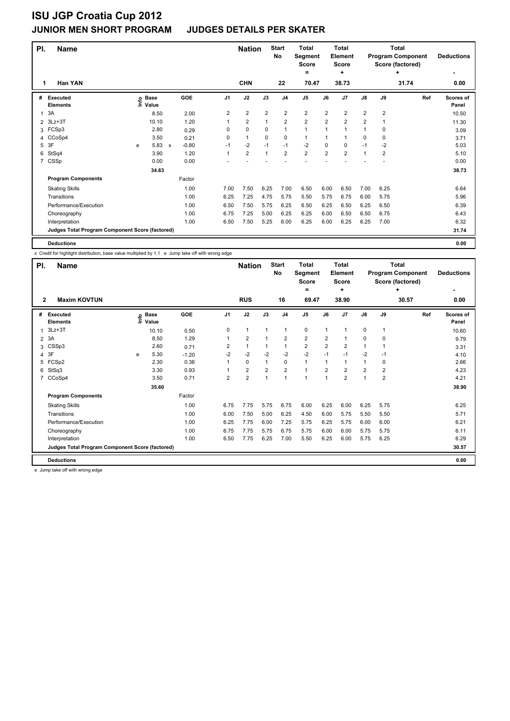| PI. | <b>Name</b>                                     |   |                   |              |            |                | <b>Nation</b>           |                | <b>Start</b><br><b>No</b> | <b>Total</b><br>Segment<br><b>Score</b><br>$=$ |                | <b>Total</b><br><b>Element</b><br><b>Score</b><br>٠ |                |                | <b>Total</b><br><b>Program Component</b><br>Score (factored)<br>٠ | <b>Deductions</b><br>٠    |
|-----|-------------------------------------------------|---|-------------------|--------------|------------|----------------|-------------------------|----------------|---------------------------|------------------------------------------------|----------------|-----------------------------------------------------|----------------|----------------|-------------------------------------------------------------------|---------------------------|
| 1   | <b>Han YAN</b>                                  |   |                   |              |            |                | <b>CHN</b>              |                | 22                        | 70.47                                          |                | 38.73                                               |                |                | 31.74                                                             | 0.00                      |
| #   | <b>Executed</b><br><b>Elements</b>              |   | e Base<br>⊆ Value |              | <b>GOE</b> | J1             | J2                      | J3             | J <sub>4</sub>            | J <sub>5</sub>                                 | J6             | J7                                                  | $\mathsf{J}8$  | J9             | Ref                                                               | <b>Scores of</b><br>Panel |
| 1   | 3A                                              |   | 8.50              |              | 2.00       | $\overline{2}$ | $\overline{\mathbf{c}}$ | $\overline{2}$ | $\overline{2}$            | $\overline{\mathbf{c}}$                        | $\overline{2}$ | $\overline{2}$                                      | 2              | $\overline{2}$ |                                                                   | 10.50                     |
| 2   | $3Lz + 3T$                                      |   | 10.10             |              | 1.20       | 1              | $\overline{2}$          | $\mathbf{1}$   | $\overline{2}$            | $\overline{2}$                                 | $\overline{2}$ | $\overline{2}$                                      | $\overline{2}$ | 1              |                                                                   | 11.30                     |
| 3   | FCSp3                                           |   | 2.80              |              | 0.29       | 0              | 0                       | 0              | $\mathbf{1}$              | $\mathbf{1}$                                   | 1              | 1                                                   | 1              | 0              |                                                                   | 3.09                      |
|     | 4 CCoSp4                                        |   | 3.50              |              | 0.21       | 0              | $\mathbf{1}$            | 0              | $\mathbf 0$               | $\mathbf{1}$                                   | 1              | 1                                                   | 0              | 0              |                                                                   | 3.71                      |
| 5   | 3F                                              | e | 5.83              | $\mathsf{x}$ | $-0.80$    | $-1$           | $-2$                    | $-1$           | $-1$                      | $-2$                                           | 0              | 0                                                   | $-1$           | $-2$           |                                                                   | 5.03                      |
| 6   | StSq4                                           |   | 3.90              |              | 1.20       | $\mathbf{1}$   | $\overline{2}$          | $\mathbf{1}$   | $\overline{2}$            | $\overline{2}$                                 | $\overline{2}$ | $\overline{2}$                                      | 1              | $\overline{2}$ |                                                                   | 5.10                      |
| 7   | CSSp                                            |   | 0.00              |              | 0.00       |                |                         |                |                           |                                                |                |                                                     |                |                |                                                                   | 0.00                      |
|     |                                                 |   | 34.63             |              |            |                |                         |                |                           |                                                |                |                                                     |                |                |                                                                   | 38.73                     |
|     | <b>Program Components</b>                       |   |                   |              | Factor     |                |                         |                |                           |                                                |                |                                                     |                |                |                                                                   |                           |
|     | <b>Skating Skills</b>                           |   |                   |              | 1.00       | 7.00           | 7.50                    | 6.25           | 7.00                      | 6.50                                           | 6.00           | 6.50                                                | 7.00           | 6.25           |                                                                   | 6.64                      |
|     | Transitions                                     |   |                   |              | 1.00       | 6.25           | 7.25                    | 4.75           | 5.75                      | 5.50                                           | 5.75           | 6.75                                                | 6.00           | 5.75           |                                                                   | 5.96                      |
|     | Performance/Execution                           |   |                   |              | 1.00       | 6.50           | 7.50                    | 5.75           | 6.25                      | 6.50                                           | 6.25           | 6.50                                                | 6.25           | 6.50           |                                                                   | 6.39                      |
|     | Choreography                                    |   |                   |              | 1.00       | 6.75           | 7.25                    | 5.00           | 6.25                      | 6.25                                           | 6.00           | 6.50                                                | 6.50           | 6.75           |                                                                   | 6.43                      |
|     | Interpretation                                  |   |                   |              | 1.00       | 6.50           | 7.50                    | 5.25           | 6.00                      | 6.25                                           | 6.00           | 6.25                                                | 6.25           | 7.00           |                                                                   | 6.32                      |
|     | Judges Total Program Component Score (factored) |   |                   |              |            |                |                         |                |                           |                                                |                |                                                     |                |                |                                                                   | 31.74                     |
|     | <b>Deductions</b>                               |   |                   |              |            |                |                         |                |                           |                                                |                |                                                     |                |                |                                                                   | 0.00                      |

x Credit for highlight distribution, base value multiplied by 1.1 e Jump take off with wrong edge

| PI.            | <b>Name</b>                                     |    |                      |         |                | <b>Nation</b>  |                | <b>Start</b><br><b>No</b> | <b>Total</b><br>Segment<br><b>Score</b> |                | Total<br>Element<br>Score |                |                | Total<br><b>Program Component</b><br>Score (factored) | <b>Deductions</b>         |
|----------------|-------------------------------------------------|----|----------------------|---------|----------------|----------------|----------------|---------------------------|-----------------------------------------|----------------|---------------------------|----------------|----------------|-------------------------------------------------------|---------------------------|
|                |                                                 |    |                      |         |                |                |                |                           | $=$                                     |                | ٠                         |                |                | ÷                                                     |                           |
| $\mathbf{2}$   | <b>Maxim KOVTUN</b>                             |    |                      |         |                | <b>RUS</b>     |                | 16                        | 69.47                                   |                | 38.90                     |                |                | 30.57                                                 | 0.00                      |
| #              | <b>Executed</b><br><b>Elements</b>              | ١m | <b>Base</b><br>Value | GOE     | J <sub>1</sub> | J2             | J3             | J <sub>4</sub>            | J <sub>5</sub>                          | J6             | J7                        | $\mathsf{J}8$  | J9             | Ref                                                   | <b>Scores of</b><br>Panel |
| 1              | $3Lz + 3T$                                      |    | 10.10                | 0.50    | 0              | $\overline{1}$ | 1              | $\overline{1}$            | 0                                       | $\mathbf{1}$   | 1                         | 0              | $\mathbf 1$    |                                                       | 10.60                     |
| $\overline{2}$ | 3A                                              |    | 8.50                 | 1.29    |                | $\overline{2}$ | 1              | 2                         | $\overline{2}$                          | $\overline{2}$ | 1                         | 0              | 0              |                                                       | 9.79                      |
| 3              | CSSp3                                           |    | 2.60                 | 0.71    | 2              | $\mathbf{1}$   |                | $\mathbf{1}$              | $\overline{2}$                          | $\overline{2}$ | $\overline{2}$            | $\mathbf{1}$   |                |                                                       | 3.31                      |
| 4              | 3F                                              | e  | 5.30                 | $-1.20$ | $-2$           | $-2$           | $-2$           | $-2$                      | $-2$                                    | $-1$           | $-1$                      | $-2$           | $-1$           |                                                       | 4.10                      |
| 5              | FCSp2                                           |    | 2.30                 | 0.36    | 1              | $\mathbf 0$    | $\mathbf{1}$   | 0                         | $\mathbf{1}$                            | $\mathbf{1}$   | $\mathbf{1}$              | $\mathbf{1}$   | 0              |                                                       | 2.66                      |
| 6              | StSq3                                           |    | 3.30                 | 0.93    |                | $\overline{2}$ | $\overline{2}$ | $\overline{2}$            | $\overline{1}$                          | $\overline{2}$ | $\overline{2}$            | $\overline{2}$ | 2              |                                                       | 4.23                      |
| $\overline{7}$ | CCoSp4                                          |    | 3.50                 | 0.71    | $\overline{2}$ | $\overline{2}$ | 1              | 1                         | 1                                       | $\mathbf{1}$   | $\overline{2}$            | $\mathbf{1}$   | $\overline{2}$ |                                                       | 4.21                      |
|                |                                                 |    | 35.60                |         |                |                |                |                           |                                         |                |                           |                |                |                                                       | 38.90                     |
|                | <b>Program Components</b>                       |    |                      | Factor  |                |                |                |                           |                                         |                |                           |                |                |                                                       |                           |
|                | <b>Skating Skills</b>                           |    |                      | 1.00    | 6.75           | 7.75           | 5.75           | 6.75                      | 6.00                                    | 6.25           | 6.00                      | 6.25           | 5.75           |                                                       | 6.25                      |
|                | Transitions                                     |    |                      | 1.00    | 6.00           | 7.50           | 5.00           | 6.25                      | 4.50                                    | 6.00           | 5.75                      | 5.50           | 5.50           |                                                       | 5.71                      |
|                | Performance/Execution                           |    |                      | 1.00    | 6.25           | 7.75           | 6.00           | 7.25                      | 5.75                                    | 6.25           | 5.75                      | 6.00           | 6.00           |                                                       | 6.21                      |
|                | Choreography                                    |    |                      | 1.00    | 6.75           | 7.75           | 5.75           | 6.75                      | 5.75                                    | 6.00           | 6.00                      | 5.75           | 5.75           |                                                       | 6.11                      |
|                | Interpretation                                  |    |                      | 1.00    | 6.50           | 7.75           | 6.25           | 7.00                      | 5.50                                    | 6.25           | 6.00                      | 5.75           | 6.25           |                                                       | 6.29                      |
|                | Judges Total Program Component Score (factored) |    |                      |         |                |                |                |                           |                                         |                |                           |                |                |                                                       | 30.57                     |
|                | <b>Deductions</b>                               |    |                      |         |                |                |                |                           |                                         |                |                           |                |                |                                                       | 0.00                      |

e Jump take off with wrong edge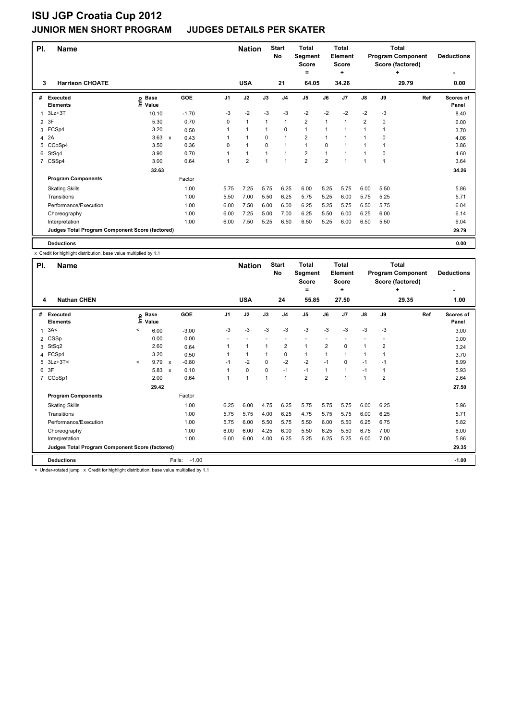| PI. | <b>Name</b>                                     |                   |                      |          | <b>Nation</b>           |              | <b>Start</b><br><b>No</b> | <b>Total</b><br>Segment<br><b>Score</b><br>$=$ |      | <b>Total</b><br><b>Element</b><br><b>Score</b><br>÷ |                |             | <b>Total</b><br><b>Program Component</b><br>Score (factored)<br>٠ | <b>Deductions</b>  |
|-----|-------------------------------------------------|-------------------|----------------------|----------|-------------------------|--------------|---------------------------|------------------------------------------------|------|-----------------------------------------------------|----------------|-------------|-------------------------------------------------------------------|--------------------|
| 3   | <b>Harrison CHOATE</b>                          |                   |                      |          | <b>USA</b>              |              | 21                        | 64.05                                          |      | 34.26                                               |                |             | 29.79                                                             | 0.00               |
| #   | <b>Executed</b><br><b>Elements</b>              | e Base<br>E Value | <b>GOE</b>           | J1       | J2                      | J3           | J <sub>4</sub>            | J <sub>5</sub>                                 | J6   | J7                                                  | $\mathsf{J}8$  | J9          | Ref                                                               | Scores of<br>Panel |
|     | $3Lz + 3T$                                      | 10.10             | $-1.70$              | $-3$     | $-2$                    | $-3$         | $-3$                      | $-2$                                           | $-2$ | $-2$                                                | $-2$           | $-3$        |                                                                   | 8.40               |
| 2   | 3F                                              | 5.30              | 0.70                 | $\Omega$ | $\mathbf{1}$            | $\mathbf{1}$ | $\mathbf{1}$              | $\overline{2}$                                 | 1    | $\mathbf{1}$                                        | $\overline{2}$ | $\mathbf 0$ |                                                                   | 6.00               |
| 3   | FCSp4                                           | 3.20              | 0.50                 | 1        | $\mathbf{1}$            | 1            | $\mathbf 0$               | $\mathbf{1}$                                   | 1    | 1                                                   | 1              | 1           |                                                                   | 3.70               |
| 4   | 2A                                              | 3.63              | $\mathsf{x}$<br>0.43 |          | $\mathbf{1}$            | 0            | $\mathbf{1}$              | 2                                              | 1    | 1                                                   | 1              | 0           |                                                                   | 4.06               |
| 5   | CCoSp4                                          | 3.50              | 0.36                 | 0        | $\mathbf{1}$            | $\Omega$     | 1                         | $\mathbf{1}$                                   | 0    | 1                                                   | 1              | $\mathbf 1$ |                                                                   | 3.86               |
| 6   | StSq4                                           | 3.90              | 0.70                 | 1        | $\mathbf{1}$            | $\mathbf{1}$ | 1                         | $\overline{2}$                                 | 1    | 1                                                   | 1              | 0           |                                                                   | 4.60               |
| 7   | CSSp4                                           | 3.00              | 0.64                 | 1        | $\overline{\mathbf{c}}$ | 1            | 1                         | $\overline{2}$                                 | 2    | 1                                                   | 1              | 1           |                                                                   | 3.64               |
|     |                                                 | 32.63             |                      |          |                         |              |                           |                                                |      |                                                     |                |             |                                                                   | 34.26              |
|     | <b>Program Components</b>                       |                   | Factor               |          |                         |              |                           |                                                |      |                                                     |                |             |                                                                   |                    |
|     | <b>Skating Skills</b>                           |                   | 1.00                 | 5.75     | 7.25                    | 5.75         | 6.25                      | 6.00                                           | 5.25 | 5.75                                                | 6.00           | 5.50        |                                                                   | 5.86               |
|     | Transitions                                     |                   | 1.00                 | 5.50     | 7.00                    | 5.50         | 6.25                      | 5.75                                           | 5.25 | 6.00                                                | 5.75           | 5.25        |                                                                   | 5.71               |
|     | Performance/Execution                           |                   | 1.00                 | 6.00     | 7.50                    | 6.00         | 6.00                      | 6.25                                           | 5.25 | 5.75                                                | 6.50           | 5.75        |                                                                   | 6.04               |
|     | Choreography                                    |                   | 1.00                 | 6.00     | 7.25                    | 5.00         | 7.00                      | 6.25                                           | 5.50 | 6.00                                                | 6.25           | 6.00        |                                                                   | 6.14               |
|     | Interpretation                                  |                   | 1.00                 | 6.00     | 7.50                    | 5.25         | 6.50                      | 6.50                                           | 5.25 | 6.00                                                | 6.50           | 5.50        |                                                                   | 6.04               |
|     | Judges Total Program Component Score (factored) |                   |                      |          |                         |              |                           |                                                |      |                                                     |                |             |                                                                   | 29.79              |
|     | <b>Deductions</b>                               |                   |                      |          |                         |              |                           |                                                |      |                                                     |                |             |                                                                   | 0.00               |

x Credit for highlight distribution, base value multiplied by 1.1

| PI.            | <b>Name</b>                                     |                          |                 | <b>Nation</b>                        |                | <b>Start</b><br>No   | Total<br>Segment<br><b>Score</b><br>= |                | <b>Total</b><br>Element<br><b>Score</b><br>٠ |                |          | <b>Total</b><br><b>Program Component</b><br>Score (factored)<br>٠ | <b>Deductions</b> |       |                    |
|----------------|-------------------------------------------------|--------------------------|-----------------|--------------------------------------|----------------|----------------------|---------------------------------------|----------------|----------------------------------------------|----------------|----------|-------------------------------------------------------------------|-------------------|-------|--------------------|
| 4              | <b>Nathan CHEN</b>                              |                          |                 |                                      |                | <b>USA</b>           |                                       | 24             | 55.85                                        |                | 27.50    |                                                                   |                   | 29.35 | 1.00               |
| #              | Executed<br><b>Elements</b>                     | Ξ                        | o Base<br>Value | GOE                                  | J <sub>1</sub> | J2                   | J3                                    | J <sub>4</sub> | J <sub>5</sub>                               | J6             | J7       | $\mathsf{J}8$                                                     | J9                | Ref   | Scores of<br>Panel |
| 1              | 3A<                                             | <                        | 6.00            | $-3.00$                              | -3             | $-3$                 | $-3$                                  | $-3$           | $-3$                                         | $-3$           | $-3$     | $-3$                                                              | $-3$              |       | 3.00               |
|                | 2 CSSp                                          |                          | 0.00            | 0.00                                 |                |                      |                                       | ٠              |                                              |                |          |                                                                   |                   |       | 0.00               |
| 3              | StSq2                                           |                          | 2.60            | 0.64                                 | 1              | $\mathbf{1}$         | $\mathbf{1}$                          | $\overline{2}$ | $\mathbf{1}$                                 | $\overline{2}$ | $\Omega$ | 1                                                                 | 2                 |       | 3.24               |
|                | 4 FCSp4                                         |                          | 3.20            | 0.50                                 |                | $\blacktriangleleft$ | 1                                     | 0              | $\mathbf{1}$                                 | 1              | 1        | 1                                                                 |                   |       | 3.70               |
|                | 5 3Lz+3T<                                       | $\overline{\phantom{a}}$ | 9.79            | $-0.80$<br>$\boldsymbol{\mathsf{x}}$ | $-1$           | $-2$                 | $\Omega$                              | $-2$           | $-2$                                         | $-1$           | $\Omega$ | $-1$                                                              | $-1$              |       | 8.99               |
| 6              | 3F                                              |                          | 5.83            | 0.10<br>$\boldsymbol{\mathsf{x}}$    |                | $\mathbf 0$          | $\Omega$                              | $-1$           | $-1$                                         | 1              | 1        | $-1$                                                              | 1                 |       | 5.93               |
| $\overline{7}$ | CCoSp1                                          |                          | 2.00            | 0.64                                 |                | $\mathbf{1}$         | 1                                     | $\mathbf{1}$   | $\overline{2}$                               | $\overline{2}$ | 1        | 1                                                                 | $\overline{2}$    |       | 2.64               |
|                |                                                 |                          | 29.42           |                                      |                |                      |                                       |                |                                              |                |          |                                                                   |                   |       | 27.50              |
|                | <b>Program Components</b>                       |                          |                 | Factor                               |                |                      |                                       |                |                                              |                |          |                                                                   |                   |       |                    |
|                | <b>Skating Skills</b>                           |                          |                 | 1.00                                 | 6.25           | 6.00                 | 4.75                                  | 6.25           | 5.75                                         | 5.75           | 5.75     | 6.00                                                              | 6.25              |       | 5.96               |
|                | Transitions                                     |                          |                 | 1.00                                 | 5.75           | 5.75                 | 4.00                                  | 6.25           | 4.75                                         | 5.75           | 5.75     | 6.00                                                              | 6.25              |       | 5.71               |
|                | Performance/Execution                           |                          |                 | 1.00                                 | 5.75           | 6.00                 | 5.50                                  | 5.75           | 5.50                                         | 6.00           | 5.50     | 6.25                                                              | 6.75              |       | 5.82               |
|                | Choreography                                    |                          |                 | 1.00                                 | 6.00           | 6.00                 | 4.25                                  | 6.00           | 5.50                                         | 6.25           | 5.50     | 6.75                                                              | 7.00              |       | 6.00               |
|                | Interpretation                                  |                          |                 | 1.00                                 | 6.00           | 6.00                 | 4.00                                  | 6.25           | 5.25                                         | 6.25           | 5.25     | 6.00                                                              | 7.00              |       | 5.86               |
|                | Judges Total Program Component Score (factored) |                          |                 |                                      |                |                      |                                       |                |                                              |                |          |                                                                   |                   |       | 29.35              |
|                | <b>Deductions</b>                               |                          |                 | $-1.00$<br>Falls:                    |                |                      |                                       |                |                                              |                |          |                                                                   |                   |       | $-1.00$            |

< Under-rotated jump x Credit for highlight distribution, base value multiplied by 1.1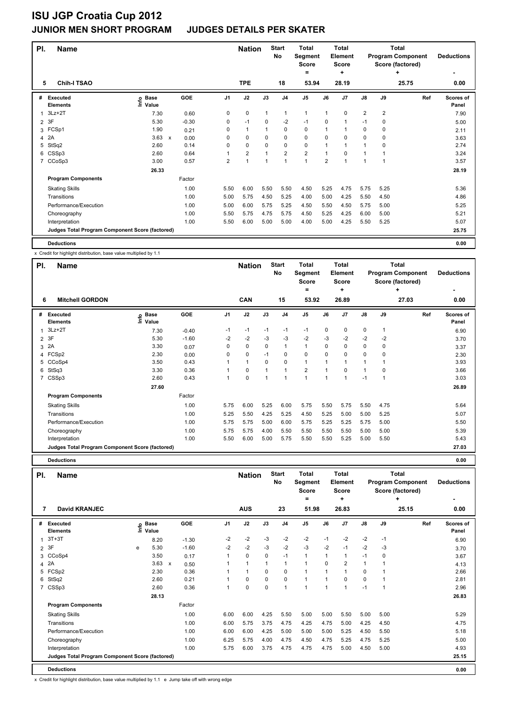| PI.            | <b>Name</b>                                     |                                  |                      |                | <b>Nation</b>  |             | <b>Start</b><br><b>No</b> | <b>Total</b><br>Segment<br><b>Score</b><br>= |                | <b>Total</b><br>Element<br><b>Score</b><br>÷ |                         |                | <b>Total</b><br><b>Program Component</b><br>Score (factored)<br>٠ | <b>Deductions</b>         |
|----------------|-------------------------------------------------|----------------------------------|----------------------|----------------|----------------|-------------|---------------------------|----------------------------------------------|----------------|----------------------------------------------|-------------------------|----------------|-------------------------------------------------------------------|---------------------------|
| 5              | <b>Chih-I TSAO</b>                              |                                  |                      |                | <b>TPE</b>     |             | 18                        | 53.94                                        |                | 28.19                                        |                         |                | 25.75                                                             | 0.00                      |
| #              | <b>Executed</b><br><b>Elements</b>              | <b>Base</b><br>e Base<br>⊆ Value | GOE                  | J <sub>1</sub> | J2             | J3          | J <sub>4</sub>            | J <sub>5</sub>                               | J6             | J7                                           | $\mathsf{J}8$           | J9             | Ref                                                               | <b>Scores of</b><br>Panel |
|                | $3Lz + 2T$                                      | 7.30                             | 0.60                 | 0              | $\mathbf 0$    | 1           | $\mathbf{1}$              | $\mathbf{1}$                                 | 1              | $\mathbf 0$                                  | $\overline{\mathbf{c}}$ | $\overline{2}$ |                                                                   | 7.90                      |
| $\overline{2}$ | 3F                                              | 5.30                             | $-0.30$              | 0              | $-1$           | $\Omega$    | $-2$                      | $-1$                                         | 0              | 1                                            | $-1$                    | 0              |                                                                   | 5.00                      |
| 3              | FCSp1                                           | 1.90                             | 0.21                 | 0              | $\mathbf{1}$   |             | $\mathbf 0$               | $\mathbf 0$                                  | 1              | 1                                            | 0                       | 0              |                                                                   | 2.11                      |
| 4              | 2A                                              | 3.63                             | $\mathsf{x}$<br>0.00 | 0              | $\mathbf 0$    | $\mathbf 0$ | $\mathbf 0$               | $\mathbf 0$                                  | 0              | $\Omega$                                     | $\Omega$                | $\mathbf 0$    |                                                                   | 3.63                      |
| 5              | StSq2                                           | 2.60                             | 0.14                 | 0              | $\mathbf 0$    | $\mathbf 0$ | $\pmb{0}$                 | $\mathbf 0$                                  | 1              | 1                                            | 1                       | 0              |                                                                   | 2.74                      |
|                | 6 CSSp3                                         | 2.60                             | 0.64                 |                | $\overline{2}$ | 1           | $\overline{2}$            | $\overline{2}$                               | 1              | 0                                            | 1                       | 1              |                                                                   | 3.24                      |
| $\overline{7}$ | CCoSp3                                          | 3.00                             | 0.57                 | $\overline{2}$ | $\mathbf{1}$   | 1           | $\mathbf{1}$              | 1                                            | $\overline{2}$ | 1                                            | 1                       | 1              |                                                                   | 3.57                      |
|                |                                                 | 26.33                            |                      |                |                |             |                           |                                              |                |                                              |                         |                |                                                                   | 28.19                     |
|                | <b>Program Components</b>                       |                                  | Factor               |                |                |             |                           |                                              |                |                                              |                         |                |                                                                   |                           |
|                | <b>Skating Skills</b>                           |                                  | 1.00                 | 5.50           | 6.00           | 5.50        | 5.50                      | 4.50                                         | 5.25           | 4.75                                         | 5.75                    | 5.25           |                                                                   | 5.36                      |
|                | Transitions                                     |                                  | 1.00                 | 5.00           | 5.75           | 4.50        | 5.25                      | 4.00                                         | 5.00           | 4.25                                         | 5.50                    | 4.50           |                                                                   | 4.86                      |
|                | Performance/Execution                           |                                  | 1.00                 | 5.00           | 6.00           | 5.75        | 5.25                      | 4.50                                         | 5.50           | 4.50                                         | 5.75                    | 5.00           |                                                                   | 5.25                      |
|                | Choreography                                    |                                  | 1.00                 | 5.50           | 5.75           | 4.75        | 5.75                      | 4.50                                         | 5.25           | 4.25                                         | 6.00                    | 5.00           |                                                                   | 5.21                      |
|                | Interpretation                                  |                                  | 1.00                 | 5.50           | 6.00           | 5.00        | 5.00                      | 4.00                                         | 5.00           | 4.25                                         | 5.50                    | 5.25           |                                                                   | 5.07                      |
|                | Judges Total Program Component Score (factored) |                                  |                      |                |                |             |                           |                                              |                |                                              |                         |                |                                                                   | 25.75                     |
|                | <b>Deductions</b>                               |                                  |                      |                |                |             |                           |                                              |                |                                              |                         |                |                                                                   | 0.00                      |

x Credit for highlight distribution, base value multiplied by 1.1

| PI.            | <b>Name</b>                                     |                       |         |                | <b>Nation</b> |             | <b>Start</b><br>No | Total<br>Segment<br><b>Score</b> |                | <b>Total</b><br>Element<br><b>Score</b> |                |                | <b>Total</b><br><b>Program Component</b><br>Score (factored) | <b>Deductions</b>  |
|----------------|-------------------------------------------------|-----------------------|---------|----------------|---------------|-------------|--------------------|----------------------------------|----------------|-----------------------------------------|----------------|----------------|--------------------------------------------------------------|--------------------|
|                |                                                 |                       |         |                |               |             |                    | =                                |                | ÷                                       |                |                | ÷                                                            | ۰                  |
| 6              | <b>Mitchell GORDON</b>                          |                       |         |                | <b>CAN</b>    |             | 15                 | 53.92                            |                | 26.89                                   |                |                | 27.03                                                        | 0.00               |
| #              | Executed<br><b>Elements</b>                     | $E$ Base<br>$E$ Value | GOE     | J <sub>1</sub> | J2            | J3          | J <sub>4</sub>     | J <sub>5</sub>                   | J6             | J7                                      | J8             | J9             | Ref                                                          | Scores of<br>Panel |
| $\mathbf{1}$   | $3Lz + 2T$                                      | 7.30                  | $-0.40$ | $-1$           | $-1$          | $-1$        | $-1$               | $-1$                             | 0              | 0                                       | $\pmb{0}$      | 1              |                                                              | 6.90               |
|                | 2 3F                                            | 5.30                  | $-1.60$ | $-2$           | $-2$          | $-3$        | $-3$               | $-2$                             | $-3$           | $-2$                                    | $-2$           | $-2$           |                                                              | 3.70               |
| 3              | 2A                                              | 3.30                  | 0.07    | 0              | $\mathbf 0$   | $\mathbf 0$ | $\overline{1}$     | $\overline{1}$                   | 0              | 0                                       | $\mathbf 0$    | 0              |                                                              | 3.37               |
|                | 4 FCSp2                                         | 2.30                  | 0.00    | 0              | $\mathbf 0$   | $-1$        | 0                  | $\mathbf 0$                      | 0              | $\Omega$                                | $\mathbf 0$    | 0              |                                                              | 2.30               |
| 5              | CCoSp4                                          | 3.50                  | 0.43    |                | $\mathbf{1}$  | $\mathbf 0$ | 0                  | $\mathbf{1}$                     |                |                                         | $\overline{1}$ |                |                                                              | 3.93               |
| 6              | StSq3                                           | 3.30                  | 0.36    |                | 0             | 1           | 1                  | $\overline{2}$                   |                | 0                                       | $\overline{1}$ | 0              |                                                              | 3.66               |
| $\overline{7}$ | CSSp3                                           | 2.60                  | 0.43    | 1              | $\mathbf 0$   | 1           | 1                  | $\overline{1}$                   | $\overline{1}$ |                                         | $-1$           | $\overline{1}$ |                                                              | 3.03               |
|                |                                                 | 27.60                 |         |                |               |             |                    |                                  |                |                                         |                |                |                                                              | 26.89              |
|                | <b>Program Components</b>                       |                       | Factor  |                |               |             |                    |                                  |                |                                         |                |                |                                                              |                    |
|                | <b>Skating Skills</b>                           |                       | 1.00    | 5.75           | 6.00          | 5.25        | 6.00               | 5.75                             | 5.50           | 5.75                                    | 5.50           | 4.75           |                                                              | 5.64               |
|                | Transitions                                     |                       | 1.00    | 5.25           | 5.50          | 4.25        | 5.25               | 4.50                             | 5.25           | 5.00                                    | 5.00           | 5.25           |                                                              | 5.07               |
|                | Performance/Execution                           |                       | 1.00    | 5.75           | 5.75          | 5.00        | 6.00               | 5.75                             | 5.25           | 5.25                                    | 5.75           | 5.00           |                                                              | 5.50               |
|                | Choreography                                    |                       | 1.00    | 5.75           | 5.75          | 4.00        | 5.50               | 5.50                             | 5.50           | 5.50                                    | 5.00           | 5.00           |                                                              | 5.39               |
|                | Interpretation                                  |                       | 1.00    | 5.50           | 6.00          | 5.00        | 5.75               | 5.50                             | 5.50           | 5.25                                    | 5.00           | 5.50           |                                                              | 5.43               |
|                | Judges Total Program Component Score (factored) |                       |         |                |               |             |                    |                                  |                |                                         |                |                |                                                              | 27.03              |

**Deductions 0.00**

| PI.            | <b>Name</b>                                     |    |                      |                           |            |                | <b>Nation</b> |              | <b>Start</b><br>No | <b>Total</b><br>Segment<br><b>Score</b> |                | <b>Total</b><br>Element<br><b>Score</b> |              |      | <b>Total</b><br><b>Program Component</b><br>Score (factored) | <b>Deductions</b>  |
|----------------|-------------------------------------------------|----|----------------------|---------------------------|------------|----------------|---------------|--------------|--------------------|-----------------------------------------|----------------|-----------------------------------------|--------------|------|--------------------------------------------------------------|--------------------|
|                |                                                 |    |                      |                           |            |                |               |              |                    | =                                       |                | ٠                                       |              |      | $\ddot{}$                                                    |                    |
| 7              | <b>David KRANJEC</b>                            |    |                      |                           |            |                | <b>AUS</b>    |              | 23                 | 51.98                                   |                | 26.83                                   |              |      | 25.15                                                        | 0.00               |
| #              | Executed<br><b>Elements</b>                     | ۴ů | <b>Base</b><br>Value |                           | <b>GOE</b> | J <sub>1</sub> | J2            | J3           | J <sub>4</sub>     | J5                                      | J6             | J <sub>7</sub>                          | J8           | J9   | Ref                                                          | Scores of<br>Panel |
| $\overline{1}$ | $3T+3T$                                         |    | 8.20                 |                           | $-1.30$    | $-2$           | $-2$          | $-3$         | $-2$               | $-2$                                    | $-1$           | $-2$                                    | $-2$         | $-1$ |                                                              | 6.90               |
| 2              | 3F                                              | e  | 5.30                 |                           | $-1.60$    | $-2$           | $-2$          | $-3$         | $-2$               | $-3$                                    | $-2$           | $-1$                                    | $-2$         | $-3$ |                                                              | 3.70               |
| 3              | CCoSp4                                          |    | 3.50                 |                           | 0.17       | 1              | $\mathbf 0$   | $\mathbf 0$  | $-1$               | $\mathbf{1}$                            | 1              | 1                                       | $-1$         | 0    |                                                              | 3.67               |
| 4              | 2A                                              |    | 3.63                 | $\boldsymbol{\mathsf{x}}$ | 0.50       | 1              | $\mathbf{1}$  | $\mathbf{1}$ | $\mathbf{1}$       | $\overline{1}$                          | $\Omega$       | $\overline{2}$                          | $\mathbf{1}$ |      |                                                              | 4.13               |
| 5              | FCSp2                                           |    | 2.30                 |                           | 0.36       | 1              | $\mathbf{1}$  | $\Omega$     | 0                  | $\overline{1}$                          |                |                                         | 0            |      |                                                              | 2.66               |
| 6              | StSq2                                           |    | 2.60                 |                           | 0.21       | 1              | 0             | $\Omega$     | 0                  | $\overline{1}$                          |                | $\Omega$                                | 0            |      |                                                              | 2.81               |
| $\overline{7}$ | CSSp3                                           |    | 2.60                 |                           | 0.36       | 1              | 0             | $\mathbf 0$  | 1                  | $\overline{1}$                          | $\overline{1}$ |                                         | $-1$         | 1    |                                                              | 2.96               |
|                |                                                 |    | 28.13                |                           |            |                |               |              |                    |                                         |                |                                         |              |      |                                                              | 26.83              |
|                | <b>Program Components</b>                       |    |                      |                           | Factor     |                |               |              |                    |                                         |                |                                         |              |      |                                                              |                    |
|                | <b>Skating Skills</b>                           |    |                      |                           | 1.00       | 6.00           | 6.00          | 4.25         | 5.50               | 5.00                                    | 5.00           | 5.50                                    | 5.00         | 5.00 |                                                              | 5.29               |
|                | Transitions                                     |    |                      |                           | 1.00       | 6.00           | 5.75          | 3.75         | 4.75               | 4.25                                    | 4.75           | 5.00                                    | 4.25         | 4.50 |                                                              | 4.75               |
|                | Performance/Execution                           |    |                      |                           | 1.00       | 6.00           | 6.00          | 4.25         | 5.00               | 5.00                                    | 5.00           | 5.25                                    | 4.50         | 5.50 |                                                              | 5.18               |
|                | Choreography                                    |    |                      |                           | 1.00       | 6.25           | 5.75          | 4.00         | 4.75               | 4.50                                    | 4.75           | 5.25                                    | 4.75         | 5.25 |                                                              | 5.00               |
|                | Interpretation                                  |    |                      |                           | 1.00       | 5.75           | 6.00          | 3.75         | 4.75               | 4.75                                    | 4.75           | 5.00                                    | 4.50         | 5.00 |                                                              | 4.93               |
|                | Judges Total Program Component Score (factored) |    |                      |                           |            |                |               |              |                    |                                         |                |                                         |              |      |                                                              | 25.15              |
|                | <b>Deductions</b>                               |    |                      |                           |            |                |               |              |                    |                                         |                |                                         |              |      |                                                              | 0.00               |

x Credit for highlight distribution, base value multiplied by 1.1 e Jump take off with wrong edge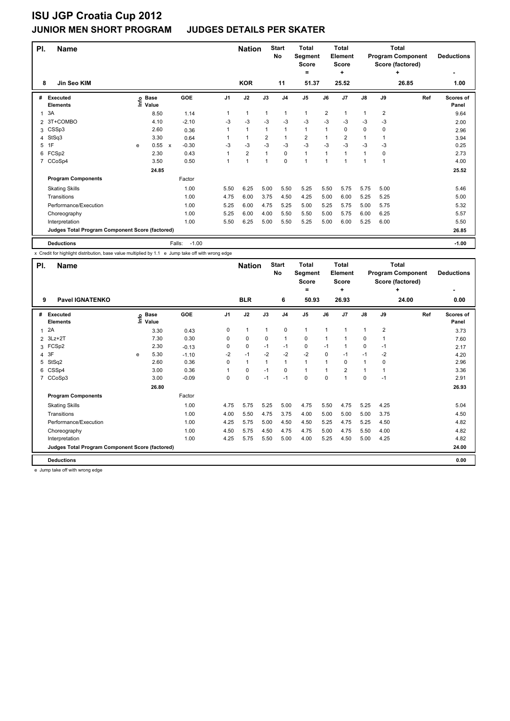| PI. | <b>Name</b>                                     |   |                   |                           |         |      | <b>Nation</b>  |              | <b>Start</b><br><b>No</b> | <b>Total</b><br>Segment<br><b>Score</b><br>$\equiv$ |                         | <b>Total</b><br>Element<br><b>Score</b><br>٠ |               |                | <b>Total</b><br><b>Program Component</b><br>Score (factored)<br>٠ | <b>Deductions</b>         |
|-----|-------------------------------------------------|---|-------------------|---------------------------|---------|------|----------------|--------------|---------------------------|-----------------------------------------------------|-------------------------|----------------------------------------------|---------------|----------------|-------------------------------------------------------------------|---------------------------|
| 8   | Jin Seo KIM                                     |   |                   |                           |         |      | <b>KOR</b>     |              | 11                        | 51.37                                               |                         | 25.52                                        |               |                | 26.85                                                             | 1.00                      |
| #   | <b>Executed</b><br><b>Elements</b>              |   | e Base<br>E Value | <b>GOE</b>                |         | J1   | J2             | J3           | J <sub>4</sub>            | J <sub>5</sub>                                      | J6                      | J7                                           | $\mathsf{J}8$ | J9             | Ref                                                               | <b>Scores of</b><br>Panel |
| 1   | 3A                                              |   | 8.50              |                           | 1.14    | 1    | $\mathbf{1}$   | $\mathbf{1}$ | $\mathbf{1}$              | 1                                                   | $\overline{\mathbf{c}}$ | 1                                            | 1             | $\overline{2}$ |                                                                   | 9.64                      |
| 2   | 3T+COMBO                                        |   | 4.10              |                           | $-2.10$ | $-3$ | $-3$           | $-3$         | $-3$                      | $-3$                                                | $-3$                    | $-3$                                         | $-3$          | $-3$           |                                                                   | 2.00                      |
| 3   | CSSp3                                           |   | 2.60              |                           | 0.36    | 1    | $\mathbf{1}$   | $\mathbf{1}$ | $\mathbf{1}$              | $\mathbf{1}$                                        | 1                       | 0                                            | 0             | 0              |                                                                   | 2.96                      |
| 4   | StSq3                                           |   | 3.30              |                           | 0.64    |      | $\mathbf{1}$   | 2            | $\mathbf{1}$              | $\overline{\mathbf{c}}$                             | 1                       | $\overline{\mathbf{c}}$                      | $\mathbf{1}$  |                |                                                                   | 3.94                      |
| 5   | 1F                                              | e | 0.55              | $\boldsymbol{\mathsf{x}}$ | $-0.30$ | $-3$ | -3             | $-3$         | $-3$                      | $-3$                                                | $-3$                    | $-3$                                         | $-3$          | -3             |                                                                   | 0.25                      |
| 6   | FCSp2                                           |   | 2.30              |                           | 0.43    | 1    | $\overline{2}$ | $\mathbf{1}$ | $\mathbf 0$               | 1                                                   | 1                       | $\mathbf{1}$                                 | 1             | 0              |                                                                   | 2.73                      |
| 7   | CCoSp4                                          |   | 3.50              |                           | 0.50    | 1    | 1              | $\mathbf{1}$ | $\mathbf 0$               | 1                                                   | 1                       | 1                                            | 1             | 1              |                                                                   | 4.00                      |
|     |                                                 |   | 24.85             |                           |         |      |                |              |                           |                                                     |                         |                                              |               |                |                                                                   | 25.52                     |
|     | <b>Program Components</b>                       |   |                   | Factor                    |         |      |                |              |                           |                                                     |                         |                                              |               |                |                                                                   |                           |
|     | <b>Skating Skills</b>                           |   |                   |                           | 1.00    | 5.50 | 6.25           | 5.00         | 5.50                      | 5.25                                                | 5.50                    | 5.75                                         | 5.75          | 5.00           |                                                                   | 5.46                      |
|     | Transitions                                     |   |                   |                           | 1.00    | 4.75 | 6.00           | 3.75         | 4.50                      | 4.25                                                | 5.00                    | 6.00                                         | 5.25          | 5.25           |                                                                   | 5.00                      |
|     | Performance/Execution                           |   |                   |                           | 1.00    | 5.25 | 6.00           | 4.75         | 5.25                      | 5.00                                                | 5.25                    | 5.75                                         | 5.00          | 5.75           |                                                                   | 5.32                      |
|     | Choreography                                    |   |                   |                           | 1.00    | 5.25 | 6.00           | 4.00         | 5.50                      | 5.50                                                | 5.00                    | 5.75                                         | 6.00          | 6.25           |                                                                   | 5.57                      |
|     | Interpretation                                  |   |                   |                           | 1.00    | 5.50 | 6.25           | 5.00         | 5.50                      | 5.25                                                | 5.00                    | 6.00                                         | 5.25          | 6.00           |                                                                   | 5.50                      |
|     | Judges Total Program Component Score (factored) |   |                   |                           |         |      |                |              |                           |                                                     |                         |                                              |               |                |                                                                   | 26.85                     |
|     | <b>Deductions</b>                               |   |                   | Falls:                    | $-1.00$ |      |                |              |                           |                                                     |                         |                                              |               |                |                                                                   | $-1.00$                   |

x Credit for highlight distribution, base value multiplied by 1.1 e Jump take off with wrong edge

| PI.            | <b>Name</b>                                     |   |                   |         |                | <b>Nation</b> |              | <b>Start</b><br>No | <b>Total</b><br>Segment<br><b>Score</b><br>= |             | <b>Total</b><br>Element<br><b>Score</b><br>٠ |              |                | Total<br><b>Program Component</b><br>Score (factored)<br>٠ | <b>Deductions</b>         |
|----------------|-------------------------------------------------|---|-------------------|---------|----------------|---------------|--------------|--------------------|----------------------------------------------|-------------|----------------------------------------------|--------------|----------------|------------------------------------------------------------|---------------------------|
| 9              | <b>Pavel IGNATENKO</b>                          |   |                   |         |                | <b>BLR</b>    |              | 6                  | 50.93                                        |             | 26.93                                        |              |                | 24.00                                                      | 0.00                      |
| #              | <b>Executed</b><br><b>Elements</b>              |   | e Base<br>E Value | GOE     | J <sub>1</sub> | J2            | J3           | J <sub>4</sub>     | J <sub>5</sub>                               | J6          | J7                                           | J8           | J9             | Ref                                                        | <b>Scores of</b><br>Panel |
| 1              | 2A                                              |   | 3.30              | 0.43    | 0              | $\mathbf{1}$  | $\mathbf{1}$ | $\mathbf 0$        | $\mathbf{1}$                                 | 1           |                                              | $\mathbf{1}$ | $\overline{2}$ |                                                            | 3.73                      |
| $\overline{2}$ | $3Lz + 2T$                                      |   | 7.30              | 0.30    | $\Omega$       | $\mathbf 0$   | 0            | $\mathbf{1}$       | $\mathbf 0$                                  | 1           |                                              | 0            | 1              |                                                            | 7.60                      |
| 3              | FCSp2                                           |   | 2.30              | $-0.13$ | 0              | $\pmb{0}$     | $-1$         | $-1$               | $\pmb{0}$                                    | $-1$        |                                              | $\mathbf 0$  | $-1$           |                                                            | 2.17                      |
|                | 4 3F                                            | e | 5.30              | $-1.10$ | $-2$           | $-1$          | $-2$         | $-2$               | $-2$                                         | $\mathbf 0$ | $-1$                                         | $-1$         | $-2$           |                                                            | 4.20                      |
| 5              | StSq2                                           |   | 2.60              | 0.36    | 0              | $\mathbf{1}$  | $\mathbf{1}$ | $\mathbf{1}$       | $\mathbf{1}$                                 | 1           | 0                                            | $\mathbf{1}$ | 0              |                                                            | 2.96                      |
| 6              | CSSp4                                           |   | 3.00              | 0.36    |                | $\mathbf 0$   | $-1$         | 0                  | $\mathbf{1}$                                 |             | 2                                            | $\mathbf{1}$ |                |                                                            | 3.36                      |
| $7^{\circ}$    | CCoSp3                                          |   | 3.00              | $-0.09$ | 0              | $\mathbf 0$   | $-1$         | $-1$               | $\mathbf 0$                                  | $\Omega$    |                                              | $\mathbf 0$  | $-1$           |                                                            | 2.91                      |
|                |                                                 |   | 26.80             |         |                |               |              |                    |                                              |             |                                              |              |                |                                                            | 26.93                     |
|                | <b>Program Components</b>                       |   |                   | Factor  |                |               |              |                    |                                              |             |                                              |              |                |                                                            |                           |
|                | <b>Skating Skills</b>                           |   |                   | 1.00    | 4.75           | 5.75          | 5.25         | 5.00               | 4.75                                         | 5.50        | 4.75                                         | 5.25         | 4.25           |                                                            | 5.04                      |
|                | Transitions                                     |   |                   | 1.00    | 4.00           | 5.50          | 4.75         | 3.75               | 4.00                                         | 5.00        | 5.00                                         | 5.00         | 3.75           |                                                            | 4.50                      |
|                | Performance/Execution                           |   |                   | 1.00    | 4.25           | 5.75          | 5.00         | 4.50               | 4.50                                         | 5.25        | 4.75                                         | 5.25         | 4.50           |                                                            | 4.82                      |
|                | Choreography                                    |   |                   | 1.00    | 4.50           | 5.75          | 4.50         | 4.75               | 4.75                                         | 5.00        | 4.75                                         | 5.50         | 4.00           |                                                            | 4.82                      |
|                | Interpretation                                  |   |                   | 1.00    | 4.25           | 5.75          | 5.50         | 5.00               | 4.00                                         | 5.25        | 4.50                                         | 5.00         | 4.25           |                                                            | 4.82                      |
|                | Judges Total Program Component Score (factored) |   |                   |         |                |               |              |                    |                                              |             |                                              |              |                |                                                            | 24.00                     |
|                | <b>Deductions</b>                               |   |                   |         |                |               |              |                    |                                              |             |                                              |              |                |                                                            | 0.00                      |

e Jump take off with wrong edge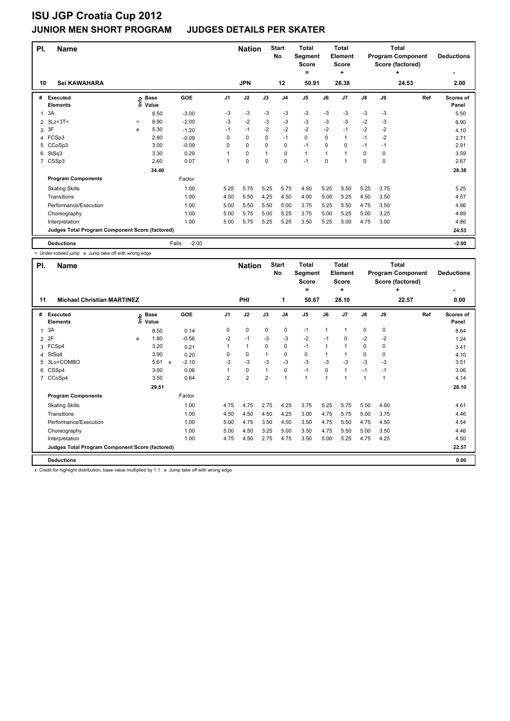| PI. | <b>Name</b>                                     |       |                      |                   |                | <b>Nation</b> |              | <b>Start</b><br><b>No</b> | <b>Total</b><br>Segment<br><b>Score</b><br>$=$ |      | <b>Total</b><br>Element<br><b>Score</b><br>٠ |               |      | <b>Total</b><br><b>Program Component</b><br>Score (factored)<br>٠ | <b>Deductions</b><br>٠ |
|-----|-------------------------------------------------|-------|----------------------|-------------------|----------------|---------------|--------------|---------------------------|------------------------------------------------|------|----------------------------------------------|---------------|------|-------------------------------------------------------------------|------------------------|
| 10  | Sei KAWAHARA                                    |       |                      |                   |                | <b>JPN</b>    |              | 12                        | 50.91                                          |      | 28.38                                        |               |      | 24.53                                                             | 2.00                   |
| #   | <b>Executed</b><br><b>Elements</b>              | ١nfo  | <b>Base</b><br>Value | <b>GOE</b>        | J <sub>1</sub> | J2            | J3           | J <sub>4</sub>            | J <sub>5</sub>                                 | J6   | J7                                           | $\mathsf{J}8$ | J9   | Ref                                                               | Scores of<br>Panel     |
| 1   | 3A                                              |       | 8.50                 | $-3.00$           | -3             | -3            | -3           | -3                        | $-3$                                           | $-3$ | -3                                           | $-3$          | -3   |                                                                   | 5.50                   |
| 2   | $3Lz + 3T <$                                    | $\,<$ | 8.90                 | $-2.00$           | $-3$           | $-2$          | $-3$         | $-3$                      | $-3$                                           | $-3$ | $-3$                                         | $-2$          | $-3$ |                                                                   | 6.90                   |
| 3   | 3F                                              | e     | 5.30                 | $-1.20$           | $-1$           | $-1$          | $-2$         | $-2$                      | $-2$                                           | $-2$ | $-1$                                         | $-2$          | $-2$ |                                                                   | 4.10                   |
| 4   | FCSp3                                           |       | 2.80                 | $-0.09$           | 0              | 0             | 0            | $-1$                      | 0                                              | 0    | 1                                            | $-1$          | $-2$ |                                                                   | 2.71                   |
| 5   | CCoSp3                                          |       | 3.00                 | $-0.09$           | 0              | 0             | 0            | 0                         | $-1$                                           | 0    | 0                                            | $-1$          | $-1$ |                                                                   | 2.91                   |
| 6   | StSq3                                           |       | 3.30                 | 0.29              | 1              | 0             | $\mathbf{1}$ | 0                         | $\mathbf{1}$                                   | 1    | 1                                            | 0             | 0    |                                                                   | 3.59                   |
| 7   | CSSp3                                           |       | 2.60                 | 0.07              | 1              | 0             | $\mathbf 0$  | $\mathbf 0$               | $-1$                                           | 0    | 1                                            | 0             | 0    |                                                                   | 2.67                   |
|     |                                                 |       | 34.40                |                   |                |               |              |                           |                                                |      |                                              |               |      |                                                                   | 28.38                  |
|     | <b>Program Components</b>                       |       |                      | Factor            |                |               |              |                           |                                                |      |                                              |               |      |                                                                   |                        |
|     | <b>Skating Skills</b>                           |       |                      | 1.00              | 5.25           | 5.75          | 5.25         | 5.75                      | 4.50                                           | 5.25 | 5.50                                         | 5.25          | 3.75 |                                                                   | 5.25                   |
|     | Transitions                                     |       |                      | 1.00              | 4.50           | 5.50          | 4.25         | 4.50                      | 4.00                                           | 5.00 | 5.25                                         | 4.50          | 3.50 |                                                                   | 4.57                   |
|     | Performance/Execution                           |       |                      | 1.00              | 5.00           | 5.50          | 5.50         | 5.00                      | 3.75                                           | 5.25 | 5.50                                         | 4.75          | 3.50 |                                                                   | 4.96                   |
|     | Choreography                                    |       |                      | 1.00              | 5.00           | 5.75          | 5.00         | 5.25                      | 3.75                                           | 5.00 | 5.25                                         | 5.00          | 3.25 |                                                                   | 4.89                   |
|     | Interpretation                                  |       |                      | 1.00              | 5.00           | 5.75          | 5.25         | 5.25                      | 3.50                                           | 5.25 | 5.00                                         | 4.75          | 3.00 |                                                                   | 4.86                   |
|     | Judges Total Program Component Score (factored) |       |                      |                   |                |               |              |                           |                                                |      |                                              |               |      |                                                                   | 24.53                  |
|     | <b>Deductions</b>                               |       |                      | $-2.00$<br>Falls: |                |               |              |                           |                                                |      |                                              |               |      |                                                                   | $-2.00$                |

< Under-rotated jump e Jump take off with wrong edge

| PI.            | <b>Name</b>                                     |      |                      | <b>Nation</b>             |         | <b>Start</b><br>No | <b>Total</b><br>Segment<br><b>Score</b><br>= |                | <b>Total</b><br>Element<br><b>Score</b><br>٠ |                      |          | Total<br><b>Program Component</b><br>Score (factored)<br>٠ | <b>Deductions</b> |             |       |                           |
|----------------|-------------------------------------------------|------|----------------------|---------------------------|---------|--------------------|----------------------------------------------|----------------|----------------------------------------------|----------------------|----------|------------------------------------------------------------|-------------------|-------------|-------|---------------------------|
| 11             | <b>Michael Christian MARTINEZ</b>               |      |                      |                           |         |                    | PHI                                          |                | 1                                            | 50.67                |          | 28.10                                                      |                   |             | 22.57 | 0.00                      |
| #              | Executed<br><b>Elements</b>                     | lnfo | <b>Base</b><br>Value |                           | GOE     | J <sub>1</sub>     | J2                                           | J3             | J <sub>4</sub>                               | J5                   | J6       | J7                                                         | $\mathsf{J}8$     | J9          | Ref   | <b>Scores of</b><br>Panel |
| 1              | 3A                                              |      | 8.50                 |                           | 0.14    | 0                  | $\pmb{0}$                                    | $\mathbf 0$    | $\pmb{0}$                                    | $-1$                 | 1        |                                                            | 0                 | $\mathbf 0$ |       | 8.64                      |
| $\overline{2}$ | 2F                                              | e    | 1.80                 |                           | $-0.56$ | $-2$               | $-1$                                         | -3             | $-3$                                         | $-2$                 | $-1$     | 0                                                          | $-2$              | $-2$        |       | 1.24                      |
| 3              | FCSp4                                           |      | 3.20                 |                           | 0.21    |                    | $\mathbf{1}$                                 | 0              | 0                                            | $-1$                 | 1        |                                                            | 0                 | 0           |       | 3.41                      |
| 4              | StSq4                                           |      | 3.90                 |                           | 0.20    | 0                  | 0                                            |                | 0                                            | 0                    | 1        |                                                            | 0                 | 0           |       | 4.10                      |
| 5.             | 3Lo+COMBO                                       |      | 5.61                 | $\boldsymbol{\mathsf{x}}$ | $-2.10$ | $-3$               | $-3$                                         | $-3$           | $-3$                                         | $-3$                 | $-3$     | $-3$                                                       | $-3$              | $-3$        |       | 3.51                      |
| 6              | CSSp4                                           |      | 3.00                 |                           | 0.06    |                    | 0                                            | $\mathbf 1$    | 0                                            | $-1$                 | $\Omega$ |                                                            | $-1$              | $-1$        |       | 3.06                      |
| $\overline{7}$ | CCoSp4                                          |      | 3.50                 |                           | 0.64    | $\overline{2}$     | $\overline{2}$                               | $\overline{2}$ | $\overline{1}$                               | $\blacktriangleleft$ | 1        |                                                            | $\mathbf{1}$      | -1          |       | 4.14                      |
|                |                                                 |      | 29.51                |                           |         |                    |                                              |                |                                              |                      |          |                                                            |                   |             |       | 28.10                     |
|                | <b>Program Components</b>                       |      |                      |                           | Factor  |                    |                                              |                |                                              |                      |          |                                                            |                   |             |       |                           |
|                | <b>Skating Skills</b>                           |      |                      |                           | 1.00    | 4.75               | 4.75                                         | 2.75           | 4.25                                         | 3.75                 | 5.25     | 5.75                                                       | 5.50              | 4.00        |       | 4.61                      |
|                | Transitions                                     |      |                      |                           | 1.00    | 4.50               | 4.50                                         | 4.50           | 4.25                                         | 3.00                 | 4.75     | 5.75                                                       | 5.00              | 3.75        |       | 4.46                      |
|                | Performance/Execution                           |      |                      |                           | 1.00    | 5.00               | 4.75                                         | 3.50           | 4.50                                         | 3.50                 | 4.75     | 5.50                                                       | 4.75              | 4.50        |       | 4.54                      |
|                | Choreography                                    |      |                      |                           | 1.00    | 5.00               | 4.50                                         | 3.25           | 5.00                                         | 3.50                 | 4.75     | 5.50                                                       | 5.00              | 3.50        |       | 4.46                      |
|                | Interpretation                                  |      |                      |                           | 1.00    | 4.75               | 4.50                                         | 2.75           | 4.75                                         | 3.50                 | 5.00     | 5.25                                                       | 4.75              | 4.25        |       | 4.50                      |
|                | Judges Total Program Component Score (factored) |      |                      |                           |         |                    |                                              |                |                                              |                      |          |                                                            |                   |             |       | 22.57                     |
|                | <b>Deductions</b>                               |      |                      |                           |         |                    |                                              |                |                                              |                      |          |                                                            |                   |             |       | 0.00                      |

x Credit for highlight distribution, base value multiplied by 1.1 e Jump take off with wrong edge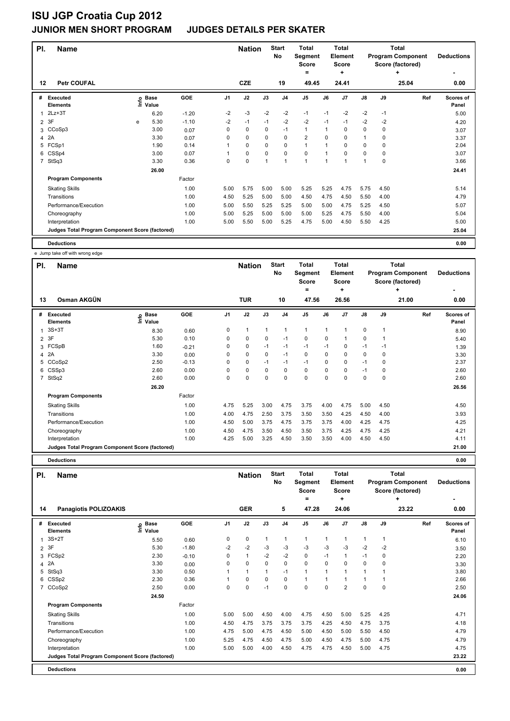| PI.            | <b>Name</b>                                     |      |                      |         |                | <b>Nation</b> |             | <b>Start</b><br>No | <b>Total</b><br>Segment<br><b>Score</b> |              | <b>Total</b><br>Element<br><b>Score</b> |               |             | <b>Total</b><br><b>Program Component</b><br>Score (factored) | <b>Deductions</b>  |
|----------------|-------------------------------------------------|------|----------------------|---------|----------------|---------------|-------------|--------------------|-----------------------------------------|--------------|-----------------------------------------|---------------|-------------|--------------------------------------------------------------|--------------------|
| 12             | <b>Petr COUFAL</b>                              |      |                      |         |                | <b>CZE</b>    |             | 19                 | =<br>49.45                              |              | ÷<br>24.41                              |               |             | ٠<br>25.04                                                   | 0.00               |
| #              | <b>Executed</b><br><b>Elements</b>              | lnfo | <b>Base</b><br>Value | GOE     | J <sub>1</sub> | J2            | J3          | J <sub>4</sub>     | J <sub>5</sub>                          | J6           | J <sub>7</sub>                          | $\mathsf{J}8$ | J9          | Ref                                                          | Scores of<br>Panel |
|                | $2Lz + 3T$                                      |      | 6.20                 | $-1.20$ | $-2$           | $-3$          | $-2$        | $-2$               | $-1$                                    | $-1$         | $-2$                                    | $-2$          | $-1$        |                                                              | 5.00               |
| $\overline{2}$ | 3F                                              | e    | 5.30                 | $-1.10$ | $-2$           | $-1$          | $-1$        | $-2$               | $-2$                                    | $-1$         | $-1$                                    | $-2$          | $-2$        |                                                              | 4.20               |
| 3              | CCoSp3                                          |      | 3.00                 | 0.07    | 0              | $\mathbf 0$   | 0           | $-1$               | $\mathbf{1}$                            | 1            | 0                                       | 0             | 0           |                                                              | 3.07               |
| 4              | 2A                                              |      | 3.30                 | 0.07    | 0              | $\mathbf 0$   | $\mathbf 0$ | $\mathbf 0$        | $\overline{2}$                          | $\mathbf 0$  | 0                                       | 1             | 0           |                                                              | 3.37               |
| 5              | FCSp1                                           |      | 1.90                 | 0.14    | 1              | 0             | 0           | 0                  | $\mathbf{1}$                            | 1            | 0                                       | 0             | $\mathbf 0$ |                                                              | 2.04               |
| 6              | CSSp4                                           |      | 3.00                 | 0.07    |                | $\mathbf 0$   | 0           | $\mathbf 0$        | $\mathbf 0$                             | 1            | $\Omega$                                | 0             | 0           |                                                              | 3.07               |
| $\overline{7}$ | StSq3                                           |      | 3.30                 | 0.36    | 0              | $\pmb{0}$     | 1           | 1                  | $\overline{1}$                          | $\mathbf{1}$ | 1                                       | $\mathbf{1}$  | $\mathbf 0$ |                                                              | 3.66               |
|                |                                                 |      | 26.00                |         |                |               |             |                    |                                         |              |                                         |               |             |                                                              | 24.41              |
|                | <b>Program Components</b>                       |      |                      | Factor  |                |               |             |                    |                                         |              |                                         |               |             |                                                              |                    |
|                | <b>Skating Skills</b>                           |      |                      | 1.00    | 5.00           | 5.75          | 5.00        | 5.00               | 5.25                                    | 5.25         | 4.75                                    | 5.75          | 4.50        |                                                              | 5.14               |
|                | Transitions                                     |      |                      | 1.00    | 4.50           | 5.25          | 5.00        | 5.00               | 4.50                                    | 4.75         | 4.50                                    | 5.50          | 4.00        |                                                              | 4.79               |
|                | Performance/Execution                           |      |                      | 1.00    | 5.00           | 5.50          | 5.25        | 5.25               | 5.00                                    | 5.00         | 4.75                                    | 5.25          | 4.50        |                                                              | 5.07               |
|                | Choreography                                    |      |                      | 1.00    | 5.00           | 5.25          | 5.00        | 5.00               | 5.00                                    | 5.25         | 4.75                                    | 5.50          | 4.00        |                                                              | 5.04               |
|                | Interpretation                                  |      |                      | 1.00    | 5.00           | 5.50          | 5.00        | 5.25               | 4.75                                    | 5.00         | 4.50                                    | 5.50          | 4.25        |                                                              | 5.00               |
|                | Judges Total Program Component Score (factored) |      |                      |         |                |               |             |                    |                                         |              |                                         |               |             |                                                              | 25.04              |
|                | <b>Deductions</b>                               |      |                      |         |                |               |             |                    |                                         |              |                                         |               |             |                                                              | 0.00               |

e Jump take off with wrong edge

|                | e vump tane on with wrong euge                  |                            |         |                |               |          |                    |                                         |             |                                         |             |      |                                                              |                    |
|----------------|-------------------------------------------------|----------------------------|---------|----------------|---------------|----------|--------------------|-----------------------------------------|-------------|-----------------------------------------|-------------|------|--------------------------------------------------------------|--------------------|
| PI.            | <b>Name</b>                                     |                            |         |                | <b>Nation</b> |          | <b>Start</b><br>No | <b>Total</b><br>Segment<br><b>Score</b> |             | <b>Total</b><br>Element<br><b>Score</b> |             |      | <b>Total</b><br><b>Program Component</b><br>Score (factored) | <b>Deductions</b>  |
|                |                                                 |                            |         |                |               |          |                    | =                                       |             | ٠                                       |             |      | ÷                                                            |                    |
| 13             | Osman AKGÜN                                     |                            |         |                | <b>TUR</b>    |          | 10                 | 47.56                                   |             | 26.56                                   |             |      | 21.00                                                        | 0.00               |
| #              | <b>Executed</b><br><b>Elements</b>              | e Base<br>E Value<br>Value | GOE     | J <sub>1</sub> | J2            | J3       | J <sub>4</sub>     | J <sub>5</sub>                          | J6          | J7                                      | J8          | J9   | Ref                                                          | Scores of<br>Panel |
| 1              | $3S+3T$                                         | 8.30                       | 0.60    | 0              | 1             | 1        | $\overline{1}$     | $\mathbf{1}$                            | 1           |                                         | 0           | 1    |                                                              | 8.90               |
| $\overline{2}$ | 3F                                              | 5.30                       | 0.10    | 0              | 0             | 0        | $-1$               | 0                                       | 0           |                                         | 0           |      |                                                              | 5.40               |
| 3              | FCSpB                                           | 1.60                       | $-0.21$ | 0              | 0             | $-1$     | $-1$               | $-1$                                    | $-1$        | 0                                       | $-1$        | $-1$ |                                                              | 1.39               |
| 4              | 2A                                              | 3.30                       | 0.00    | 0              | 0             | 0        | $-1$               | 0                                       | $\mathbf 0$ | 0                                       | 0           | 0    |                                                              | 3.30               |
| 5              | CCoSp2                                          | 2.50                       | $-0.13$ | 0              | 0             | $-1$     | $-1$               | $-1$                                    | $\Omega$    | 0                                       | $-1$        | 0    |                                                              | 2.37               |
| 6              | CSSp3                                           | 2.60                       | 0.00    | $\Omega$       | 0             | $\Omega$ | 0                  | $\mathbf 0$                             | $\Omega$    | 0                                       | $-1$        | 0    |                                                              | 2.60               |
| $\overline{7}$ | StSq2                                           | 2.60                       | 0.00    | 0              | $\mathbf 0$   | $\Omega$ | $\mathbf 0$        | $\mathbf 0$                             | $\Omega$    | $\Omega$                                | $\mathbf 0$ | 0    |                                                              | 2.60               |
|                |                                                 | 26.20                      |         |                |               |          |                    |                                         |             |                                         |             |      |                                                              | 26.56              |
|                | <b>Program Components</b>                       |                            | Factor  |                |               |          |                    |                                         |             |                                         |             |      |                                                              |                    |
|                | <b>Skating Skills</b>                           |                            | 1.00    | 4.75           | 5.25          | 3.00     | 4.75               | 3.75                                    | 4.00        | 4.75                                    | 5.00        | 4.50 |                                                              | 4.50               |
|                | Transitions                                     |                            | 1.00    | 4.00           | 4.75          | 2.50     | 3.75               | 3.50                                    | 3.50        | 4.25                                    | 4.50        | 4.00 |                                                              | 3.93               |
|                | Performance/Execution                           |                            | 1.00    | 4.50           | 5.00          | 3.75     | 4.75               | 3.75                                    | 3.75        | 4.00                                    | 4.25        | 4.75 |                                                              | 4.25               |
|                | Choreography                                    |                            | 1.00    | 4.50           | 4.75          | 3.50     | 4.50               | 3.50                                    | 3.75        | 4.25                                    | 4.75        | 4.25 |                                                              | 4.21               |
|                | Interpretation                                  |                            | 1.00    | 4.25           | 5.00          | 3.25     | 4.50               | 3.50                                    | 3.50        | 4.00                                    | 4.50        | 4.50 |                                                              | 4.11               |
|                | Judges Total Program Component Score (factored) |                            |         |                |               |          |                    |                                         |             |                                         |             |      |                                                              | 21.00              |

**Deductions 0.00**

| PI.            | <b>Name</b>                                     |                              |         |                | <b>Nation</b> |          | <b>Start</b><br><b>No</b> | <b>Total</b><br>Segment<br><b>Score</b> |                | Total<br>Element<br><b>Score</b> |                      |             | Total<br><b>Program Component</b><br>Score (factored) | <b>Deductions</b>         |
|----------------|-------------------------------------------------|------------------------------|---------|----------------|---------------|----------|---------------------------|-----------------------------------------|----------------|----------------------------------|----------------------|-------------|-------------------------------------------------------|---------------------------|
| 14             | <b>Panagiotis POLIZOAKIS</b>                    |                              |         |                | <b>GER</b>    |          | 5                         | =<br>47.28                              |                | ٠<br>24.06                       |                      |             | ٠<br>23.22                                            | 0.00                      |
| #              | <b>Executed</b><br><b>Elements</b>              | <b>Base</b><br>lnfo<br>Value | GOE     | J <sub>1</sub> | J2            | J3       | J <sub>4</sub>            | J <sub>5</sub>                          | J6             | J <sub>7</sub>                   | $\mathsf{J}8$        | J9          | Ref                                                   | <b>Scores of</b><br>Panel |
| 1              | $3S+2T$                                         | 5.50                         | 0.60    | 0              | 0             | 1        | 1                         | $\mathbf{1}$                            | 1              | 1                                | $\mathbf{1}$         | $\mathbf 1$ |                                                       | 6.10                      |
| $\overline{2}$ | 3F                                              | 5.30                         | $-1.80$ | -2             | $-2$          | $-3$     | $-3$                      | $-3$                                    | $-3$           | $-3$                             | $-2$                 | $-2$        |                                                       | 3.50                      |
| 3              | FCSp2                                           | 2.30                         | $-0.10$ | 0              | $\mathbf{1}$  | $-2$     | $-2$                      | $\pmb{0}$                               | $-1$           | $\mathbf{1}$                     | $-1$                 | 0           |                                                       | 2.20                      |
| 4              | 2A                                              | 3.30                         | 0.00    | 0              | $\mathbf 0$   | 0        | $\pmb{0}$                 | $\mathbf 0$                             | 0              | $\Omega$                         | 0                    | 0           |                                                       | 3.30                      |
| 5              | StSq3                                           | 3.30                         | 0.50    |                | $\mathbf{1}$  | 1        | $-1$                      | $\mathbf{1}$                            | $\overline{1}$ | 1                                | $\blacktriangleleft$ |             |                                                       | 3.80                      |
| 6              | CSSp2                                           | 2.30                         | 0.36    |                | 0             | $\Omega$ | $\mathbf 0$               | $\mathbf{1}$                            | 1              | 1                                | 1                    |             |                                                       | 2.66                      |
| $\overline{7}$ | CCoSp2                                          | 2.50                         | 0.00    | 0              | $\mathbf 0$   | $-1$     | $\mathbf 0$               | $\mathbf 0$                             | $\mathbf 0$    | $\overline{2}$                   | 0                    | $\mathbf 0$ |                                                       | 2.50                      |
|                |                                                 | 24.50                        |         |                |               |          |                           |                                         |                |                                  |                      |             |                                                       | 24.06                     |
|                | <b>Program Components</b>                       |                              | Factor  |                |               |          |                           |                                         |                |                                  |                      |             |                                                       |                           |
|                | <b>Skating Skills</b>                           |                              | 1.00    | 5.00           | 5.00          | 4.50     | 4.00                      | 4.75                                    | 4.50           | 5.00                             | 5.25                 | 4.25        |                                                       | 4.71                      |
|                | Transitions                                     |                              | 1.00    | 4.50           | 4.75          | 3.75     | 3.75                      | 3.75                                    | 4.25           | 4.50                             | 4.75                 | 3.75        |                                                       | 4.18                      |
|                | Performance/Execution                           |                              | 1.00    | 4.75           | 5.00          | 4.75     | 4.50                      | 5.00                                    | 4.50           | 5.00                             | 5.50                 | 4.50        |                                                       | 4.79                      |
|                | Choreography                                    |                              | 1.00    | 5.25           | 4.75          | 4.50     | 4.75                      | 5.00                                    | 4.50           | 4.75                             | 5.00                 | 4.75        |                                                       | 4.79                      |
|                | Interpretation                                  |                              | 1.00    | 5.00           | 5.00          | 4.00     | 4.50                      | 4.75                                    | 4.75           | 4.50                             | 5.00                 | 4.75        |                                                       | 4.75                      |
|                | Judges Total Program Component Score (factored) |                              |         |                |               |          |                           |                                         |                |                                  |                      |             |                                                       | 23.22                     |
|                | <b>Deductions</b>                               |                              |         |                |               |          |                           |                                         |                |                                  |                      |             |                                                       | 0.00                      |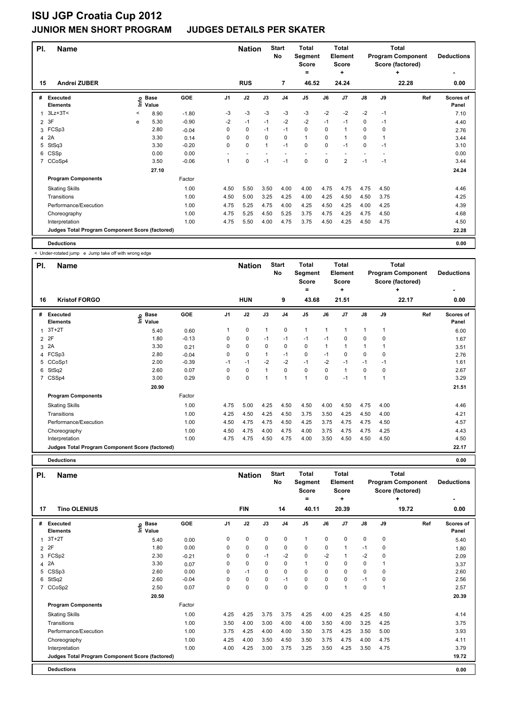| PI.            | <b>Name</b>                                     |         |                      |         |                | <b>Nation</b> |                | <b>Start</b><br>No | <b>Total</b><br>Segment<br><b>Score</b><br>= |             | <b>Total</b><br>Element<br><b>Score</b><br>÷ |                          |      | <b>Total</b><br><b>Program Component</b><br>Score (factored)<br>÷ | <b>Deductions</b>  |
|----------------|-------------------------------------------------|---------|----------------------|---------|----------------|---------------|----------------|--------------------|----------------------------------------------|-------------|----------------------------------------------|--------------------------|------|-------------------------------------------------------------------|--------------------|
| 15             | Andrei ZUBER                                    |         |                      |         |                | <b>RUS</b>    |                | 7                  | 46.52                                        |             | 24.24                                        |                          |      | 22.28                                                             | 0.00               |
| #              | <b>Executed</b><br><b>Elements</b>              | ١nfo    | <b>Base</b><br>Value | GOE     | J <sub>1</sub> | J2            | J3             | J <sub>4</sub>     | J <sub>5</sub>                               | J6          | J7                                           | $\mathsf{J}8$            | J9   | Ref                                                               | Scores of<br>Panel |
|                | $3Lz + 3T <$                                    | $\,<\,$ | 8.90                 | $-1.80$ | -3             | $-3$          | -3             | -3                 | $-3$                                         | $-2$        | $-2$                                         | $-2$                     | $-1$ |                                                                   | 7.10               |
| $\overline{2}$ | 3F                                              | e       | 5.30                 | $-0.90$ | $-2$           | $-1$          | $-1$           | $-2$               | $-2$                                         | $-1$        | $-1$                                         | $\mathbf 0$              | $-1$ |                                                                   | 4.40               |
| 3              | FCSp3                                           |         | 2.80                 | $-0.04$ | 0              | $\mathbf 0$   | $-1$           | $-1$               | $\mathbf 0$                                  | 0           |                                              | 0                        | 0    |                                                                   | 2.76               |
| 4              | 2A                                              |         | 3.30                 | 0.14    | 0              | $\mathbf 0$   | $\mathbf 0$    | $\mathbf 0$        | $\mathbf{1}$                                 | 0           |                                              | $\mathbf 0$              |      |                                                                   | 3.44               |
| 5              | StSq3                                           |         | 3.30                 | $-0.20$ | 0              | $\mathbf 0$   | $\overline{1}$ | $-1$               | $\pmb{0}$                                    | 0           | $-1$                                         | 0                        | $-1$ |                                                                   | 3.10               |
| 6              | CSSp                                            |         | 0.00                 | 0.00    |                |               |                |                    | ٠                                            |             |                                              | $\overline{\phantom{a}}$ |      |                                                                   | 0.00               |
| $\overline{7}$ | CCoSp4                                          |         | 3.50                 | $-0.06$ | 1              | $\mathbf 0$   | $-1$           | $-1$               | $\mathbf 0$                                  | $\mathbf 0$ | 2                                            | $-1$                     | $-1$ |                                                                   | 3.44               |
|                |                                                 |         | 27.10                |         |                |               |                |                    |                                              |             |                                              |                          |      |                                                                   | 24.24              |
|                | <b>Program Components</b>                       |         |                      | Factor  |                |               |                |                    |                                              |             |                                              |                          |      |                                                                   |                    |
|                | <b>Skating Skills</b>                           |         |                      | 1.00    | 4.50           | 5.50          | 3.50           | 4.00               | 4.00                                         | 4.75        | 4.75                                         | 4.75                     | 4.50 |                                                                   | 4.46               |
|                | Transitions                                     |         |                      | 1.00    | 4.50           | 5.00          | 3.25           | 4.25               | 4.00                                         | 4.25        | 4.50                                         | 4.50                     | 3.75 |                                                                   | 4.25               |
|                | Performance/Execution                           |         |                      | 1.00    | 4.75           | 5.25          | 4.75           | 4.00               | 4.25                                         | 4.50        | 4.25                                         | 4.00                     | 4.25 |                                                                   | 4.39               |
|                | Choreography                                    |         |                      | 1.00    | 4.75           | 5.25          | 4.50           | 5.25               | 3.75                                         | 4.75        | 4.25                                         | 4.75                     | 4.50 |                                                                   | 4.68               |
|                | Interpretation                                  |         |                      | 1.00    | 4.75           | 5.50          | 4.00           | 4.75               | 3.75                                         | 4.50        | 4.25                                         | 4.50                     | 4.75 |                                                                   | 4.50               |
|                | Judges Total Program Component Score (factored) |         |                      |         |                |               |                |                    |                                              |             |                                              |                          |      |                                                                   | 22.28              |
|                | <b>Deductions</b>                               |         |                      |         |                |               |                |                    |                                              |             |                                              |                          |      |                                                                   | 0.00               |

< Under-rotated jump e Jump take off with wrong edge

| PI.         | <b>Name</b>                                     |                              |         |                | <b>Nation</b> |              | <b>Start</b><br>No | <b>Total</b><br>Segment<br><b>Score</b><br>= |          | <b>Total</b><br>Element<br><b>Score</b><br>٠ |               |              | Total<br><b>Program Component</b><br>Score (factored)<br>٠ | <b>Deductions</b>  |
|-------------|-------------------------------------------------|------------------------------|---------|----------------|---------------|--------------|--------------------|----------------------------------------------|----------|----------------------------------------------|---------------|--------------|------------------------------------------------------------|--------------------|
| 16          | <b>Kristof FORGO</b>                            |                              |         |                | <b>HUN</b>    |              | 9                  | 43.68                                        |          | 21.51                                        |               |              | 22.17                                                      | 0.00               |
| #           | Executed<br><b>Elements</b>                     | <b>Base</b><br>lnfo<br>Value | GOE     | J <sub>1</sub> | J2            | J3           | J <sub>4</sub>     | J <sub>5</sub>                               | J6       | J7                                           | $\mathsf{J}8$ | J9           | Ref                                                        | Scores of<br>Panel |
| 1           | $3T+2T$                                         | 5.40                         | 0.60    |                | $\mathbf 0$   | $\mathbf{1}$ | $\mathbf 0$        | $\mathbf{1}$                                 | 1        |                                              | 1             | $\mathbf{1}$ |                                                            | 6.00               |
|             | 2P                                              | 1.80                         | $-0.13$ | 0              | $\mathbf 0$   | $-1$         | $-1$               | $-1$                                         | $-1$     | $\Omega$                                     | 0             | 0            |                                                            | 1.67               |
|             | 3 2A                                            | 3.30                         | 0.21    | 0              | $\mathbf 0$   | $\Omega$     | $\mathbf 0$        | $\mathbf 0$                                  | 1        |                                              | $\mathbf{1}$  |              |                                                            | 3.51               |
|             | 4 FCSp3                                         | 2.80                         | $-0.04$ | 0              | $\pmb{0}$     |              | -1                 | $\pmb{0}$                                    | $-1$     | 0                                            | 0             | 0            |                                                            | 2.76               |
| 5           | CCoSp1                                          | 2.00                         | $-0.39$ | $-1$           | $-1$          | $-2$         | $-2$               | $-1$                                         | $-2$     | $-1$                                         | $-1$          | $-1$         |                                                            | 1.61               |
|             | 6 StSq2                                         | 2.60                         | 0.07    | $\Omega$       | $\mathbf 0$   |              | $\mathbf 0$        | $\mathbf 0$                                  | $\Omega$ |                                              | 0             | 0            |                                                            | 2.67               |
| $7^{\circ}$ | CSSp4                                           | 3.00                         | 0.29    | 0              | $\mathbf 0$   |              | 1                  | $\overline{1}$                               | $\Omega$ | $-1$                                         | $\mathbf{1}$  | 1            |                                                            | 3.29               |
|             |                                                 | 20.90                        |         |                |               |              |                    |                                              |          |                                              |               |              |                                                            | 21.51              |
|             | <b>Program Components</b>                       |                              | Factor  |                |               |              |                    |                                              |          |                                              |               |              |                                                            |                    |
|             | <b>Skating Skills</b>                           |                              | 1.00    | 4.75           | 5.00          | 4.25         | 4.50               | 4.50                                         | 4.00     | 4.50                                         | 4.75          | 4.00         |                                                            | 4.46               |
|             | Transitions                                     |                              | 1.00    | 4.25           | 4.50          | 4.25         | 4.50               | 3.75                                         | 3.50     | 4.25                                         | 4.50          | 4.00         |                                                            | 4.21               |
|             | Performance/Execution                           |                              | 1.00    | 4.50           | 4.75          | 4.75         | 4.50               | 4.25                                         | 3.75     | 4.75                                         | 4.75          | 4.50         |                                                            | 4.57               |
|             | Choreography                                    |                              | 1.00    | 4.50           | 4.75          | 4.00         | 4.75               | 4.00                                         | 3.75     | 4.75                                         | 4.75          | 4.25         |                                                            | 4.43               |
|             | Interpretation                                  |                              | 1.00    | 4.75           | 4.75          | 4.50         | 4.75               | 4.00                                         | 3.50     | 4.50                                         | 4.50          | 4.50         |                                                            | 4.50               |
|             | Judges Total Program Component Score (factored) |                              |         |                |               |              |                    |                                              |          |                                              |               |              |                                                            | 22.17              |

**Deductions 0.00**

| PI.          | <b>Name</b>                                     |                           |         |                | <b>Nation</b> |             | <b>Start</b><br>No | <b>Total</b><br>Segment<br><b>Score</b><br>= |             | Total<br>Element<br><b>Score</b><br>٠ |             |      | Total<br><b>Program Component</b><br>Score (factored)<br>٠ | <b>Deductions</b>                |
|--------------|-------------------------------------------------|---------------------------|---------|----------------|---------------|-------------|--------------------|----------------------------------------------|-------------|---------------------------------------|-------------|------|------------------------------------------------------------|----------------------------------|
| 17           | <b>Tino OLENIUS</b>                             |                           |         |                | <b>FIN</b>    |             | 14                 | 40.11                                        |             | 20.39                                 |             |      | 19.72                                                      | $\overline{\phantom{0}}$<br>0.00 |
| #            | <b>Executed</b><br><b>Elements</b>              | <b>Base</b><br>e<br>Value | GOE     | J <sub>1</sub> | J2            | J3          | J <sub>4</sub>     | J <sub>5</sub>                               | J6          | J <sub>7</sub>                        | J8          | J9   | Ref                                                        | Scores of<br>Panel               |
| $\mathbf{1}$ | $3T+2T$                                         | 5.40                      | 0.00    | 0              | 0             | $\mathbf 0$ | $\mathbf 0$        | $\mathbf{1}$                                 | 0           | 0                                     | $\mathbf 0$ | 0    |                                                            | 5.40                             |
|              | 2 2F                                            | 1.80                      | 0.00    | 0              | 0             | 0           | 0                  | 0                                            | 0           |                                       | $-1$        | 0    |                                                            | 1.80                             |
| 3            | FCSp2                                           | 2.30                      | $-0.21$ | 0              | 0             | $-1$        | $-2$               | $\mathbf 0$                                  | $-2$        |                                       | $-2$        | 0    |                                                            | 2.09                             |
| 4            | 2A                                              | 3.30                      | 0.07    | 0              | 0             | $\Omega$    | 0                  | $\mathbf{1}$                                 | 0           | 0                                     | 0           |      |                                                            | 3.37                             |
| 5            | CSSp3                                           | 2.60                      | 0.00    | 0              | $-1$          | 0           | 0                  | 0                                            | $\Omega$    | 0                                     | 0           | 0    |                                                            | 2.60                             |
| 6            | StSq2                                           | 2.60                      | $-0.04$ | 0              | 0             | 0           | $-1$               | $\mathbf 0$                                  | $\Omega$    | 0                                     | $-1$        | 0    |                                                            | 2.56                             |
| 7            | CCoSp2                                          | 2.50                      | 0.07    | 0              | $\mathbf 0$   | 0           | $\mathbf 0$        | $\mathbf 0$                                  | $\mathbf 0$ |                                       | $\pmb{0}$   | 1    |                                                            | 2.57                             |
|              |                                                 | 20.50                     |         |                |               |             |                    |                                              |             |                                       |             |      |                                                            | 20.39                            |
|              | <b>Program Components</b>                       |                           | Factor  |                |               |             |                    |                                              |             |                                       |             |      |                                                            |                                  |
|              | <b>Skating Skills</b>                           |                           | 1.00    | 4.25           | 4.25          | 3.75        | 3.75               | 4.25                                         | 4.00        | 4.25                                  | 4.25        | 4.50 |                                                            | 4.14                             |
|              | Transitions                                     |                           | 1.00    | 3.50           | 4.00          | 3.00        | 4.00               | 4.00                                         | 3.50        | 4.00                                  | 3.25        | 4.25 |                                                            | 3.75                             |
|              | Performance/Execution                           |                           | 1.00    | 3.75           | 4.25          | 4.00        | 4.00               | 3.50                                         | 3.75        | 4.25                                  | 3.50        | 5.00 |                                                            | 3.93                             |
|              | Choreography                                    |                           | 1.00    | 4.25           | 4.00          | 3.50        | 4.50               | 3.50                                         | 3.75        | 4.75                                  | 4.00        | 4.75 |                                                            | 4.11                             |
|              | Interpretation                                  |                           | 1.00    | 4.00           | 4.25          | 3.00        | 3.75               | 3.25                                         | 3.50        | 4.25                                  | 3.50        | 4.75 |                                                            | 3.79                             |
|              | Judges Total Program Component Score (factored) |                           |         |                |               |             |                    |                                              |             |                                       |             |      |                                                            | 19.72                            |
|              | <b>Deductions</b>                               |                           |         |                |               |             |                    |                                              |             |                                       |             |      |                                                            | 0.00                             |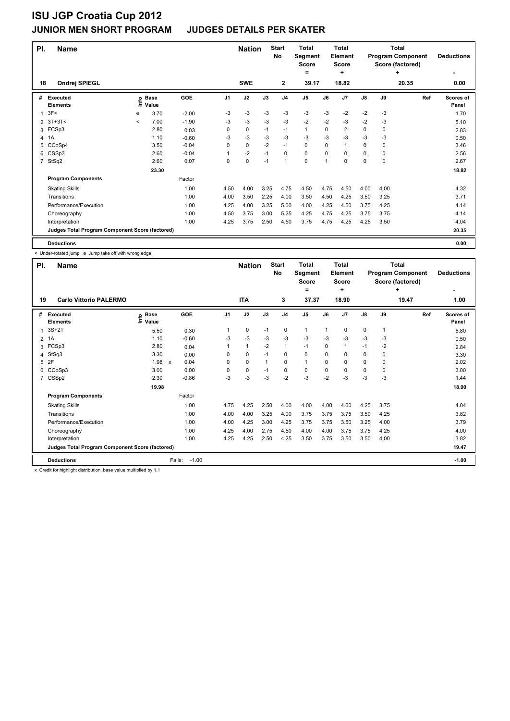| PI.            | <b>Name</b>                                     |              |                      |         |                | <b>Nation</b> |      | <b>Start</b><br><b>No</b> | <b>Total</b><br>Segment<br><b>Score</b><br>= |      | <b>Total</b><br>Element<br><b>Score</b><br>÷ |      |      | <b>Total</b><br><b>Program Component</b><br>Score (factored)<br>٠ | <b>Deductions</b>         |
|----------------|-------------------------------------------------|--------------|----------------------|---------|----------------|---------------|------|---------------------------|----------------------------------------------|------|----------------------------------------------|------|------|-------------------------------------------------------------------|---------------------------|
| 18             | Ondrej SPIEGL                                   |              |                      |         |                | <b>SWE</b>    |      | $\mathbf{2}$              | 39.17                                        |      | 18.82                                        |      |      | 20.35                                                             | 0.00                      |
| #              | Executed<br><b>Elements</b>                     | Info         | <b>Base</b><br>Value | GOE     | J <sub>1</sub> | J2            | J3   | J <sub>4</sub>            | J <sub>5</sub>                               | J6   | J7                                           | J8   | J9   | Ref                                                               | <b>Scores of</b><br>Panel |
|                | 3F<                                             | е            | 3.70                 | $-2.00$ | -3             | $-3$          | $-3$ | $-3$                      | $-3$                                         | $-3$ | $-2$                                         | $-2$ | $-3$ |                                                                   | 1.70                      |
| $\overline{2}$ | $3T+3T<$                                        | $\checkmark$ | 7.00                 | $-1.90$ | $-3$           | $-3$          | $-3$ | $-3$                      | $-2$                                         | $-2$ | $-3$                                         | $-2$ | $-3$ |                                                                   | 5.10                      |
| 3              | FCSp3                                           |              | 2.80                 | 0.03    | 0              | $\mathbf 0$   | $-1$ | $-1$                      | $\mathbf{1}$                                 | 0    | 2                                            | 0    | 0    |                                                                   | 2.83                      |
| 4              | 1A                                              |              | 1.10                 | $-0.60$ | $-3$           | $-3$          | $-3$ | $-3$                      | $-3$                                         | $-3$ | $-3$                                         | $-3$ | $-3$ |                                                                   | 0.50                      |
| 5              | CCoSp4                                          |              | 3.50                 | $-0.04$ | 0              | $\pmb{0}$     | $-2$ | $-1$                      | $\mathbf 0$                                  | 0    | 1                                            | 0    | 0    |                                                                   | 3.46                      |
| 6              | CSSp3                                           |              | 2.60                 | $-0.04$ |                | $-2$          | $-1$ | 0                         | 0                                            | 0    | 0                                            | 0    | 0    |                                                                   | 2.56                      |
| 7              | StSq2                                           |              | 2.60                 | 0.07    | 0              | $\pmb{0}$     | $-1$ | $\mathbf{1}$              | 0                                            | 1    | 0                                            | 0    | 0    |                                                                   | 2.67                      |
|                |                                                 |              | 23.30                |         |                |               |      |                           |                                              |      |                                              |      |      |                                                                   | 18.82                     |
|                | <b>Program Components</b>                       |              |                      | Factor  |                |               |      |                           |                                              |      |                                              |      |      |                                                                   |                           |
|                | <b>Skating Skills</b>                           |              |                      | 1.00    | 4.50           | 4.00          | 3.25 | 4.75                      | 4.50                                         | 4.75 | 4.50                                         | 4.00 | 4.00 |                                                                   | 4.32                      |
|                | Transitions                                     |              |                      | 1.00    | 4.00           | 3.50          | 2.25 | 4.00                      | 3.50                                         | 4.50 | 4.25                                         | 3.50 | 3.25 |                                                                   | 3.71                      |
|                | Performance/Execution                           |              |                      | 1.00    | 4.25           | 4.00          | 3.25 | 5.00                      | 4.00                                         | 4.25 | 4.50                                         | 3.75 | 4.25 |                                                                   | 4.14                      |
|                | Choreography                                    |              |                      | 1.00    | 4.50           | 3.75          | 3.00 | 5.25                      | 4.25                                         | 4.75 | 4.25                                         | 3.75 | 3.75 |                                                                   | 4.14                      |
|                | Interpretation                                  |              |                      | 1.00    | 4.25           | 3.75          | 2.50 | 4.50                      | 3.75                                         | 4.75 | 4.25                                         | 4.25 | 3.50 |                                                                   | 4.04                      |
|                | Judges Total Program Component Score (factored) |              |                      |         |                |               |      |                           |                                              |      |                                              |      |      |                                                                   | 20.35                     |
|                | <b>Deductions</b>                               |              |                      |         |                |               |      |                           |                                              |      |                                              |      |      |                                                                   | 0.00                      |

< Under-rotated jump e Jump take off with wrong edge

| PI. | <b>Name</b>                                     |                                      |                      |          | <b>Nation</b> |              | <b>Start</b><br><b>No</b> | <b>Total</b><br>Segment<br><b>Score</b><br>= |          | <b>Total</b><br>Element<br><b>Score</b><br>٠ |          |      | Total<br><b>Program Component</b><br>Score (factored)<br>÷ | <b>Deductions</b>  |
|-----|-------------------------------------------------|--------------------------------------|----------------------|----------|---------------|--------------|---------------------------|----------------------------------------------|----------|----------------------------------------------|----------|------|------------------------------------------------------------|--------------------|
| 19  | <b>Carlo Vittorio PALERMO</b>                   |                                      |                      |          | <b>ITA</b>    |              | 3                         | 37.37                                        |          | 18.90                                        |          |      | 19.47                                                      | 1.00               |
| #   | Executed<br><b>Elements</b>                     | <b>Base</b><br>$\circ$<br>έ<br>Value | GOE                  | J1       | J2            | J3           | J <sub>4</sub>            | J <sub>5</sub>                               | J6       | J7                                           | J8       | J9   | Ref                                                        | Scores of<br>Panel |
| 1   | $3S+2T$                                         | 5.50                                 | 0.30                 | 1        | $\mathbf 0$   | $-1$         | $\pmb{0}$                 | $\mathbf{1}$                                 | 1        | 0                                            | 0        | 1    |                                                            | 5.80               |
|     | 2 1A                                            | 1.10                                 | $-0.60$              | $-3$     | $-3$          | -3           | $-3$                      | $-3$                                         | -3       | $-3$                                         | $-3$     | $-3$ |                                                            | 0.50               |
| 3   | FCSp3                                           | 2.80                                 | 0.04                 |          | $\mathbf{1}$  | $-2$         | $\mathbf{1}$              | $-1$                                         | 0        | 1                                            | $-1$     | $-2$ |                                                            | 2.84               |
|     | 4 StSq3                                         | 3.30                                 | 0.00                 | 0        | $\mathbf 0$   | $-1$         | 0                         | 0                                            | 0        | 0                                            | 0        | 0    |                                                            | 3.30               |
|     | 5 2F                                            | 1.98                                 | 0.04<br>$\mathsf{x}$ | $\Omega$ | 0             | $\mathbf{1}$ | 0                         | $\mathbf{1}$                                 | $\Omega$ | 0                                            | $\Omega$ | 0    |                                                            | 2.02               |
| 6   | CCoSp3                                          | 3.00                                 | 0.00                 | $\Omega$ | $\mathbf 0$   | $-1$         | 0                         | 0                                            | 0        | 0                                            | 0        | 0    |                                                            | 3.00               |
|     | 7 CSSp2                                         | 2.30                                 | $-0.86$              | $-3$     | -3            | $-3$         | $-2$                      | $-3$                                         | $-2$     | $-3$                                         | $-3$     | $-3$ |                                                            | 1.44               |
|     |                                                 | 19.98                                |                      |          |               |              |                           |                                              |          |                                              |          |      |                                                            | 18.90              |
|     | <b>Program Components</b>                       |                                      | Factor               |          |               |              |                           |                                              |          |                                              |          |      |                                                            |                    |
|     | <b>Skating Skills</b>                           |                                      | 1.00                 | 4.75     | 4.25          | 2.50         | 4.00                      | 4.00                                         | 4.00     | 4.00                                         | 4.25     | 3.75 |                                                            | 4.04               |
|     | Transitions                                     |                                      | 1.00                 | 4.00     | 4.00          | 3.25         | 4.00                      | 3.75                                         | 3.75     | 3.75                                         | 3.50     | 4.25 |                                                            | 3.82               |
|     | Performance/Execution                           |                                      | 1.00                 | 4.00     | 4.25          | 3.00         | 4.25                      | 3.75                                         | 3.75     | 3.50                                         | 3.25     | 4.00 |                                                            | 3.79               |
|     | Choreography                                    |                                      | 1.00                 | 4.25     | 4.00          | 2.75         | 4.50                      | 4.00                                         | 4.00     | 3.75                                         | 3.75     | 4.25 |                                                            | 4.00               |
|     | Interpretation                                  |                                      | 1.00                 | 4.25     | 4.25          | 2.50         | 4.25                      | 3.50                                         | 3.75     | 3.50                                         | 3.50     | 4.00 |                                                            | 3.82               |
|     | Judges Total Program Component Score (factored) |                                      |                      |          |               |              |                           |                                              |          |                                              |          |      |                                                            | 19.47              |
|     | <b>Deductions</b>                               |                                      | $-1.00$<br>Falls:    |          |               |              |                           |                                              |          |                                              |          |      |                                                            | $-1.00$            |

x Credit for highlight distribution, base value multiplied by 1.1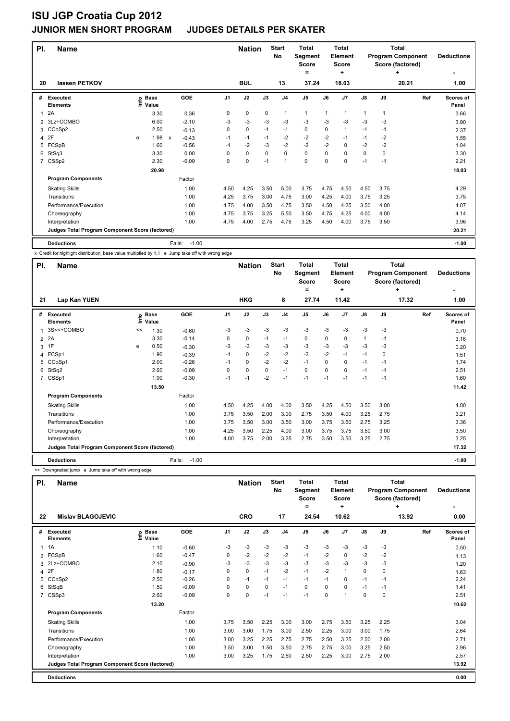| PI.            | <b>Name</b><br>lassen PETKOV<br>20              |   |                                  |                         |         |                | <b>Nation</b> |             | <b>Start</b><br><b>No</b> | <b>Total</b><br>Segment<br><b>Score</b><br>= |      | <b>Total</b><br>Element<br><b>Score</b><br>٠ |      |      | <b>Total</b><br><b>Program Component</b><br>Score (factored)<br>٠ | <b>Deductions</b>  |
|----------------|-------------------------------------------------|---|----------------------------------|-------------------------|---------|----------------|---------------|-------------|---------------------------|----------------------------------------------|------|----------------------------------------------|------|------|-------------------------------------------------------------------|--------------------|
|                |                                                 |   |                                  |                         |         |                | <b>BUL</b>    |             | 13                        | 37.24                                        |      | 18.03                                        |      |      | 20.21                                                             | 1.00               |
| #              | <b>Executed</b><br><b>Elements</b>              |   | <b>Base</b><br>e Base<br>⊆ Value | GOE                     |         | J <sub>1</sub> | J2            | J3          | J <sub>4</sub>            | J <sub>5</sub>                               | J6   | J <sub>7</sub>                               | J8   | J9   | Ref                                                               | Scores of<br>Panel |
| 1              | 2A                                              |   | 3.30                             |                         | 0.36    | 0              | $\mathbf 0$   | $\mathbf 0$ | $\mathbf{1}$              | $\mathbf{1}$                                 | 1    | 1                                            | 1    | 1    |                                                                   | 3.66               |
| $\overline{2}$ | 3Lz+COMBO                                       |   | 6.00                             |                         | $-2.10$ | -3             | $-3$          | $-3$        | $-3$                      | $-3$                                         | $-3$ | $-3$                                         | $-3$ | -3   |                                                                   | 3.90               |
| 3              | CCoSp2                                          |   | 2.50                             |                         | $-0.13$ | 0              | $\mathbf 0$   | $-1$        | $-1$                      | $\mathbf 0$                                  | 0    | 1                                            | $-1$ | $-1$ |                                                                   | 2.37               |
| 4              | 2F                                              | e | 1.98                             | $-0.43$<br>$\mathsf{x}$ |         | $-1$           | $-1$          | $-1$        | $-2$                      | $-2$                                         | $-2$ | $-1$                                         | $-1$ | $-2$ |                                                                   | 1.55               |
| 5              | FCSpB                                           |   | 1.60                             |                         | $-0.56$ | $-1$           | $-2$          | $-3$        | $-2$                      | $-2$                                         | $-2$ | $\mathbf 0$                                  | $-2$ | $-2$ |                                                                   | 1.04               |
| 6              | StSq3                                           |   | 3.30                             |                         | 0.00    | 0              | $\mathbf 0$   | $\mathbf 0$ | $\mathbf 0$               | $\mathbf 0$                                  | 0    | 0                                            | 0    | 0    |                                                                   | 3.30               |
| 7              | CSSp2                                           |   | 2.30                             |                         | $-0.09$ | 0              | $\mathbf 0$   | $-1$        | $\mathbf{1}$              | $\mathbf 0$                                  | 0    | 0                                            | $-1$ | $-1$ |                                                                   | 2.21               |
|                |                                                 |   | 20.98                            |                         |         |                |               |             |                           |                                              |      |                                              |      |      |                                                                   | 18.03              |
|                | <b>Program Components</b>                       |   |                                  | Factor                  |         |                |               |             |                           |                                              |      |                                              |      |      |                                                                   |                    |
|                | <b>Skating Skills</b>                           |   |                                  |                         | 1.00    | 4.50           | 4.25          | 3.50        | 5.00                      | 3.75                                         | 4.75 | 4.50                                         | 4.50 | 3.75 |                                                                   | 4.29               |
|                | Transitions                                     |   |                                  |                         | 1.00    | 4.25           | 3.75          | 3.00        | 4.75                      | 3.00                                         | 4.25 | 4.00                                         | 3.75 | 3.25 |                                                                   | 3.75               |
|                | Performance/Execution                           |   |                                  |                         | 1.00    | 4.75           | 4.00          | 3.50        | 4.75                      | 3.50                                         | 4.50 | 4.25                                         | 3.50 | 4.00 |                                                                   | 4.07               |
|                | Choreography                                    |   |                                  |                         | 1.00    | 4.75           | 3.75          | 3.25        | 5.50                      | 3.50                                         | 4.75 | 4.25                                         | 4.00 | 4.00 |                                                                   | 4.14               |
|                | Interpretation                                  |   |                                  |                         | 1.00    | 4.75           | 4.00          | 2.75        | 4.75                      | 3.25                                         | 4.50 | 4.00                                         | 3.75 | 3.50 |                                                                   | 3.96               |
|                | Judges Total Program Component Score (factored) |   |                                  |                         |         |                |               |             |                           |                                              |      |                                              |      |      |                                                                   | 20.21              |
|                | <b>Deductions</b>                               |   |                                  | Falls:                  | $-1.00$ |                |               |             |                           |                                              |      |                                              |      |      |                                                                   | $-1.00$            |

x Credit for highlight distribution, base value multiplied by 1.1 e Jump take off with wrong edge

| PI.            | <b>Name</b>                                     |      |                      |                   |                | <b>Nation</b> |             | <b>Start</b><br>No | <b>Total</b><br>Segment<br><b>Score</b> |          | <b>Total</b><br>Element<br><b>Score</b> |              |      | Total<br><b>Program Component</b><br>Score (factored) | <b>Deductions</b>         |
|----------------|-------------------------------------------------|------|----------------------|-------------------|----------------|---------------|-------------|--------------------|-----------------------------------------|----------|-----------------------------------------|--------------|------|-------------------------------------------------------|---------------------------|
| 21             | Lap Kan YUEN                                    |      |                      |                   |                | <b>HKG</b>    |             | 8                  | ۰<br>27.74                              |          | ٠<br>11.42                              |              |      | ٠<br>17.32                                            | 1.00                      |
| #              | Executed<br><b>Elements</b>                     | ١mfo | <b>Base</b><br>Value | GOE               | J <sub>1</sub> | J2            | J3          | J <sub>4</sub>     | J <sub>5</sub>                          | J6       | J <sub>7</sub>                          | J8           | J9   | Ref                                                   | <b>Scores of</b><br>Panel |
| $\mathbf{1}$   | 3S<<+COMBO                                      | <<   | 1.30                 | $-0.60$           | -3             | -3            | -3          | $-3$               | -3                                      | -3       | -3                                      | -3           | -3   |                                                       | 0.70                      |
|                | 2 2A                                            |      | 3.30                 | $-0.14$           | 0              | 0             | $-1$        | $-1$               | 0                                       | 0        | 0                                       | $\mathbf{1}$ | $-1$ |                                                       | 3.16                      |
|                | 3 1F                                            | e    | 0.50                 | $-0.30$           | -3             | $-3$          | $-3$        | -3                 | $-3$                                    | $-3$     | -3                                      | $-3$         | -3   |                                                       | 0.20                      |
|                | 4 FCSp1                                         |      | 1.90                 | $-0.39$           | $-1$           | $\mathbf 0$   | $-2$        | $-2$               | $-2$                                    | $-2$     | $-1$                                    | $-1$         | 0    |                                                       | 1.51                      |
|                | 5 CCoSp1                                        |      | 2.00                 | $-0.26$           | $-1$           | $\mathbf 0$   | $-2$        | $-2$               | $-1$                                    | $\Omega$ | $\Omega$                                | $-1$         | $-1$ |                                                       | 1.74                      |
| 6              | StSq2                                           |      | 2.60                 | $-0.09$           | 0              | $\mathbf 0$   | $\mathbf 0$ | $-1$               | $\mathbf 0$                             | 0        | $\Omega$                                | $-1$         | $-1$ |                                                       | 2.51                      |
| $\overline{7}$ | CSSp1                                           |      | 1.90                 | $-0.30$           | $-1$           | $-1$          | $-2$        | $-1$               | $-1$                                    | $-1$     | $-1$                                    | $-1$         | $-1$ |                                                       | 1.60                      |
|                |                                                 |      | 13.50                |                   |                |               |             |                    |                                         |          |                                         |              |      |                                                       | 11.42                     |
|                | <b>Program Components</b>                       |      |                      | Factor            |                |               |             |                    |                                         |          |                                         |              |      |                                                       |                           |
|                | <b>Skating Skills</b>                           |      |                      | 1.00              | 4.50           | 4.25          | 4.00        | 4.00               | 3.50                                    | 4.25     | 4.50                                    | 3.50         | 3.00 |                                                       | 4.00                      |
|                | Transitions                                     |      |                      | 1.00              | 3.75           | 3.50          | 2.00        | 3.00               | 2.75                                    | 3.50     | 4.00                                    | 3.25         | 2.75 |                                                       | 3.21                      |
|                | Performance/Execution                           |      |                      | 1.00              | 3.75           | 3.50          | 3.00        | 3.50               | 3.00                                    | 3.75     | 3.50                                    | 2.75         | 3.25 |                                                       | 3.36                      |
|                | Choreography                                    |      |                      | 1.00              | 4.25           | 3.50          | 2.25        | 4.00               | 3.00                                    | 3.75     | 3.75                                    | 3.50         | 3.00 |                                                       | 3.50                      |
|                | Interpretation                                  |      |                      | 1.00              | 4.00           | 3.75          | 2.00        | 3.25               | 2.75                                    | 3.50     | 3.50                                    | 3.25         | 2.75 |                                                       | 3.25                      |
|                | Judges Total Program Component Score (factored) |      |                      |                   |                |               |             |                    |                                         |          |                                         |              |      |                                                       | 17.32                     |
|                | <b>Deductions</b>                               |      |                      | $-1.00$<br>Falls: |                |               |             |                    |                                         |          |                                         |              |      |                                                       | $-1.00$                   |

<< Downgraded jump e Jump take off with wrong edge

| PI.          | <b>Name</b>                                     |                              |         |          | <b>Nation</b> |          | <b>Start</b><br>No | <b>Total</b><br>Segment<br><b>Score</b><br>$\equiv$ |      | <b>Total</b><br><b>Element</b><br><b>Score</b><br>÷ |               |          | <b>Total</b><br><b>Program Component</b><br>Score (factored)<br>÷ | <b>Deductions</b>  |
|--------------|-------------------------------------------------|------------------------------|---------|----------|---------------|----------|--------------------|-----------------------------------------------------|------|-----------------------------------------------------|---------------|----------|-------------------------------------------------------------------|--------------------|
| 22           | <b>Mislav BLAGOJEVIC</b>                        |                              |         |          | <b>CRO</b>    |          | 17                 | 24.54                                               |      | 10.62                                               |               |          | 13.92                                                             | 0.00               |
| #            | Executed<br><b>Elements</b>                     | <b>Base</b><br>١mfo<br>Value | GOE     | J1       | J2            | J3       | J <sub>4</sub>     | J <sub>5</sub>                                      | J6   | J <sub>7</sub>                                      | $\mathsf{J}8$ | J9       | Ref                                                               | Scores of<br>Panel |
| $\mathbf{1}$ | 1A                                              | 1.10                         | $-0.60$ | $-3$     | -3            | $-3$     | $-3$               | $-3$                                                | $-3$ | $-3$                                                | $-3$          | $-3$     |                                                                   | 0.50               |
|              | 2 FCSpB                                         | 1.60                         | $-0.47$ | 0        | $-2$          | $-2$     | $-2$               | $-1$                                                | $-2$ | 0                                                   | $-2$          | $-2$     |                                                                   | 1.13               |
|              | 3 2Lz+COMBO                                     | 2.10                         | $-0.90$ | $-3$     | $-3$          | $-3$     | $-3$               | $-3$                                                | $-3$ | $-3$                                                | $-3$          | -3       |                                                                   | 1.20               |
|              | 4 2F                                            | 1.80                         | $-0.17$ | 0        | 0             | $-1$     | $-2$               | $-1$                                                | $-2$ | 1                                                   | 0             | 0        |                                                                   | 1.63               |
|              | 5 CCoSp2                                        | 2.50                         | $-0.26$ | 0        | $-1$          | $-1$     | $-1$               | $-1$                                                | $-1$ | 0                                                   | $-1$          | $-1$     |                                                                   | 2.24               |
| 6            | StSqB                                           | 1.50                         | $-0.09$ | $\Omega$ | 0             | $\Omega$ | $-1$               | 0                                                   | 0    | 0                                                   | $-1$          | $-1$     |                                                                   | 1.41               |
|              | 7 CSSp3                                         | 2.60                         | $-0.09$ | 0        | 0             | $-1$     | $-1$               | $-1$                                                | 0    | 1                                                   | 0             | $\Omega$ |                                                                   | 2.51               |
|              |                                                 | 13.20                        |         |          |               |          |                    |                                                     |      |                                                     |               |          |                                                                   | 10.62              |
|              | <b>Program Components</b>                       |                              | Factor  |          |               |          |                    |                                                     |      |                                                     |               |          |                                                                   |                    |
|              | <b>Skating Skills</b>                           |                              | 1.00    | 3.75     | 3.50          | 2.25     | 3.00               | 3.00                                                | 2.75 | 3.50                                                | 3.25          | 2.25     |                                                                   | 3.04               |
|              | Transitions                                     |                              | 1.00    | 3.00     | 3.00          | 1.75     | 3.00               | 2.50                                                | 2.25 | 3.00                                                | 3.00          | 1.75     |                                                                   | 2.64               |
|              | Performance/Execution                           |                              | 1.00    | 3.00     | 3.25          | 2.25     | 2.75               | 2.75                                                | 2.50 | 3.25                                                | 2.50          | 2.00     |                                                                   | 2.71               |
|              | Choreography                                    |                              | 1.00    | 3.50     | 3.00          | 1.50     | 3.50               | 2.75                                                | 2.75 | 3.00                                                | 3.25          | 2.50     |                                                                   | 2.96               |
|              | Interpretation                                  |                              | 1.00    | 3.00     | 3.25          | 1.75     | 2.50               | 2.50                                                | 2.25 | 3.00                                                | 2.75          | 2.00     |                                                                   | 2.57               |
|              | Judges Total Program Component Score (factored) |                              |         |          |               |          |                    |                                                     |      |                                                     |               |          |                                                                   | 13.92              |
|              | <b>Deductions</b>                               |                              |         |          |               |          |                    |                                                     |      |                                                     |               |          |                                                                   | 0.00               |